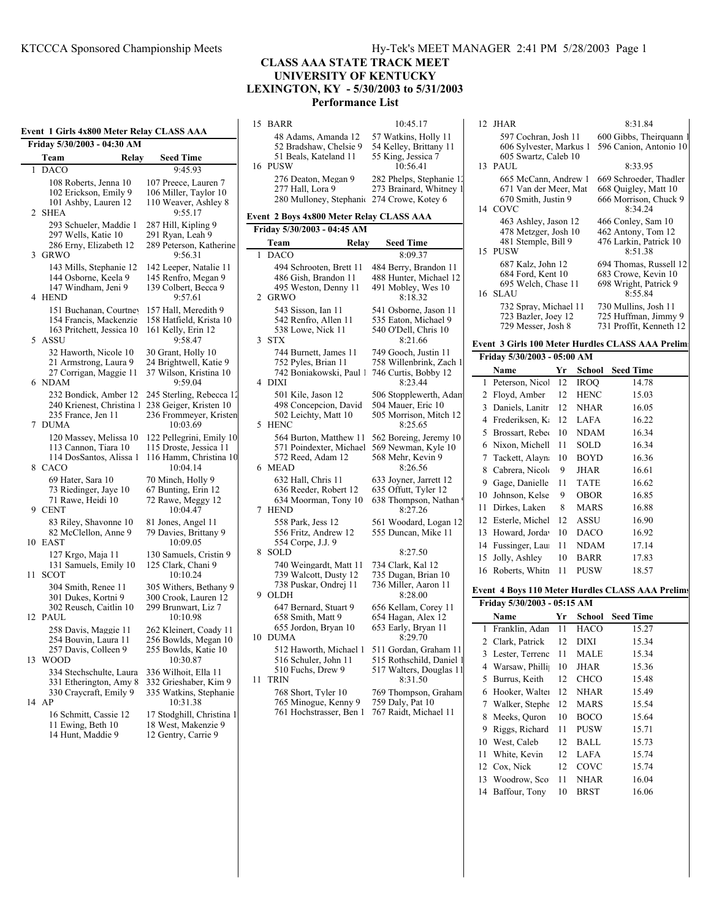**Event 1 Girls 4x800 Meter Relay CLASS AAA**

|                | <b>OHIS TAUGU MERE INTER</b><br><b>CERTION LETTER</b><br>Friday 5/30/2003 - 04:30 AM    |       |                                                                                          |  |  |  |  |  |
|----------------|-----------------------------------------------------------------------------------------|-------|------------------------------------------------------------------------------------------|--|--|--|--|--|
|                | Team                                                                                    | Relay | <b>Seed Time</b>                                                                         |  |  |  |  |  |
| 1              | <b>DACO</b>                                                                             |       | 9:45.93                                                                                  |  |  |  |  |  |
| $\mathfrak{D}$ | 108 Roberts, Jenna 10<br>102 Erickson, Emily 9<br>101 Ashby, Lauren 12<br><b>SHEA</b>   |       | 107 Preece, Lauren 7<br>106 Miller, Taylor 10<br>110 Weaver, Ashley 8<br>9:55.17         |  |  |  |  |  |
|                | 293 Schueler, Maddie 1<br>297 Wells, Katie 10<br>286 Erny, Elizabeth 12<br>3 GRWO       |       | 287 Hill, Kipling 9<br>291 Ryan, Leah 9<br>289 Peterson, Katherine<br>9:56.31            |  |  |  |  |  |
|                | 143 Mills, Stephanie 12<br>144 Osborne, Keela 9<br>147 Windham, Jeni 9<br>4 HEND        |       | 142 Leeper, Natalie 11<br>145 Renfro, Megan 9<br>139 Colbert, Becca 9<br>9:57.61         |  |  |  |  |  |
|                | 151 Buchanan, Courtney<br>154 Francis, Mackenzie<br>163 Pritchett, Jessica 10<br>5 ASSU |       | 157 Hall, Meredith 9<br>158 Hatfield, Krista 10<br>161 Kelly, Erin 12<br>9:58.47         |  |  |  |  |  |
| 6              | 32 Haworth, Nicole 10<br>21 Armstrong, Laura 9<br>27 Corrigan, Maggie 11<br><b>NDAM</b> |       | 30 Grant, Holly 10<br>24 Brightwell, Katie 9<br>37 Wilson, Kristina 10<br>9:59.04        |  |  |  |  |  |
| 7              | 232 Bondick, Amber 12<br>240 Krienest, Christina 1<br>235 France, Jen 11<br><b>DUMA</b> |       | 245 Sterling, Rebecca 12<br>238 Geiger, Kristen 10<br>236 Frommeyer, Kristen<br>10:03.69 |  |  |  |  |  |
| 8              | 120 Massey, Melissa 10<br>113 Cannon, Tiara 10<br>114 DosSantos, Alissa 1<br>CACO       |       | 122 Pellegrini, Emily 10<br>115 Droste, Jessica 11<br>116 Hamm, Christina 10<br>10:04.14 |  |  |  |  |  |
| 9              | 69 Hater, Sara 10<br>73 Riedinger, Jaye 10<br>71 Rawe, Heidi 10<br><b>CENT</b>          |       | 70 Minch, Holly 9<br>67 Bunting, Erin 12<br>72 Rawe, Meggy 12<br>10:04.47                |  |  |  |  |  |

83 Riley, Shavonne 10 81 Jones, Angel 11 82 McClellon, Anne 9 79 Davies, Brittany 9<br>10:09:05

131 Samuels, Emily 10 11 SCOT 10:10.24

302 Reusch, Caitlin 10

331 Etherington, Amy 8<br>330 Craycraft, Emily 9

12 PAUL 10:10.98

13 WOOD 10:30.87

127 Krgo, Maja 11 130 Samuels, Cristin 9<br>131 Samuels, Emily 10 125 Clark, Chani 9

304 Smith, Renee 11 305 Withers, Bethany 9 301 Dukes, Kortni 9 300 Crook, Lauren 12<br>302 Reusch, Caitlin 10 299 Brunwart, Liz 7

258 Davis, Maggie 11 262 Kleinert, Coady 11<br>254 Bouvin, Laura 11 256 Bowlds, Megan 10 254 Bouvin, Laura 11 256 Bowlds, Megan 10<br>257 Davis, Colleen 9 255 Bowlds, Katie 10

334 Stechschulte, Laura 336 Wilhoit, Ella 11

16 Schmitt, Cassie 12 17 Stodghill, Christina 1<br>11 Ewing, Beth 10 18 West, Makenzie 9 11 Ewing, Beth 10 18 West, Makenzie 9<br>14 Hunt, Maddie 9 12 Gentry, Carrie 9

330 Craycraft, Emily 9 335 Watkins, Stephanie

 $10:09.05$ 

255 Bowlds, Katie 10

10:31.38

12 Gentry, Carrie 9

#### **CLASS AAA STATE TRACK MEET UNIVERSITY OF KENTUCKY LEXINGTON, KY - 5/30/2003 to 5/31/2003 Performance List**

15 BARR 10:45.17

16 PUSW 10:56.41

52 Bradshaw, Chelsie 9

| 280 Mulloney, Stephanic 274 Crowe, Kotey 6 |                                                                                       |                                                                                         |  |  |  |  |  |  |  |
|--------------------------------------------|---------------------------------------------------------------------------------------|-----------------------------------------------------------------------------------------|--|--|--|--|--|--|--|
| Event 2 Boys 4x800 Meter Relay CLASS AAA   |                                                                                       |                                                                                         |  |  |  |  |  |  |  |
|                                            | Friday 5/30/2003 - 04:45 AM                                                           |                                                                                         |  |  |  |  |  |  |  |
| Relay<br><b>Seed Time</b><br>Team          |                                                                                       |                                                                                         |  |  |  |  |  |  |  |
| 1                                          | DACO                                                                                  | 8:09.37                                                                                 |  |  |  |  |  |  |  |
| 2                                          | 494 Schrooten, Brett 11<br>486 Gish, Brandon 11<br>495 Weston, Denny 11<br>GRWO       | 484 Berry, Brandon 11<br>488 Hunter, Michael 12<br>491 Mobley, Wes 10<br>8:18.32        |  |  |  |  |  |  |  |
| 3                                          | 543 Sisson, Ian 11<br>542 Renfro, Allen 11<br>538 Lowe, Nick 11<br><b>STX</b>         | 541 Osborne, Jason 11<br>535 Eaton, Michael 9<br>540 O'Dell, Chris 10<br>8:21.66        |  |  |  |  |  |  |  |
| 4                                          | 744 Burnett, James 11<br>752 Pyles, Brian 11<br>742 Boniakowski, Paul 1<br>DIXI       | 749 Gooch, Justin 11<br>758 Willenbrink, Zach 1<br>746 Curtis, Bobby 12<br>8:23.44      |  |  |  |  |  |  |  |
| 5                                          | 501 Kile, Jason 12<br>498 Concepcion, David<br>502 Leichty, Matt 10<br><b>HENC</b>    | 506 Stopplewerth, Adam<br>504 Mauer, Eric 10<br>505 Morrison, Mitch 12<br>8:25.65       |  |  |  |  |  |  |  |
| 6                                          | 564 Burton, Matthew 11<br>571 Poindexter, Michael<br>572 Reed, Adam 12<br><b>MEAD</b> | 562 Boreing, Jeremy 10<br>569 Newman, Kyle 10<br>568 Mehr, Kevin 9<br>8:26.56           |  |  |  |  |  |  |  |
| 7                                          | 632 Hall, Chris 11<br>636 Reeder, Robert 12<br>634 Moorman, Tony 10<br><b>HEND</b>    | 633 Joyner, Jarrett 12<br>635 Offutt, Tyler 12<br>638 Thompson, Nathan!<br>8:27.26      |  |  |  |  |  |  |  |
| 8                                          | 558 Park, Jess 12<br>556 Fritz, Andrew 12<br>554 Corpe, J.J. 9<br>SOLD                | 561 Woodard, Logan 12<br>555 Duncan, Mike 11<br>8:27.50                                 |  |  |  |  |  |  |  |
| 9                                          | 740 Weingardt, Matt 11<br>739 Walcott, Dusty 12<br>738 Puskar, Ondrej 11<br>OLDH      | 734 Clark, Kal 12<br>735 Dugan, Brian 10<br>736 Miller, Aaron 11<br>8:28.00             |  |  |  |  |  |  |  |
| 10                                         | 647 Bernard, Stuart 9<br>658 Smith, Matt 9<br>655 Jordon, Bryan 10<br><b>DUMA</b>     | 656 Kellam, Corey 11<br>654 Hagan, Alex 12<br>653 Early, Bryan 11<br>8:29.70            |  |  |  |  |  |  |  |
| 11                                         | 512 Haworth, Michael 1<br>516 Schuler, John 11<br>510 Fuchs, Drew 9<br><b>TRIN</b>    | 511 Gordan, Graham 11<br>515 Rothschild, Daniel 1<br>517 Walters, Douglas 11<br>8:31.50 |  |  |  |  |  |  |  |
|                                            | 768 Short, Tyler 10<br>765 Minogue, Kenny 9<br>761 Hochstrasser, Ben 1                | 769 Thompson, Graham<br>759 Daly, Pat 10<br>767 Raidt, Michael 11                       |  |  |  |  |  |  |  |

#### 48 Adams, Amanda 12 57 Watkins, Holly 11<br>52 Bradshaw, Chelsie 9 54 Kelley, Brittany 11 51 Beals, Kateland 11 55 King, Jessica 7 276 Deaton, Megan 9 282 Phelps, Stephanie 1<br>277 Hall, Lora 9 273 Brainard, Whitney 1 273 Brainard, Whitney 1 597 Cochran, Josh 11 600 Gibbs, Theirquann 606 Sylvester, Markus 1 596 Canion, Antonio 10 606 Sylvester, Markus 1 605 Swartz, Caleb 10 13 PAUL 8:33.95 665 McCann, Andrew 1 669 Schroeder, Thadler 671 Van der Meer, Mat 668 Quigley, Matt 10<br>670 Smith, Justin 9 666 Morrison, Chuck 666 Morrison, Chuck 9<br>8:34.24 14 COVC 463 Ashley, Jason 12 466 Conley, Sam 10 478 Metzger, Josh 10 462 Antony, Tom 12<br>481 Stemple, Bill 9 476 Larkin, Patrick 1 476 Larkin, Patrick 10<br>8:51.38 15 PUSW 687 Kalz, John 12 694 Thomas, Russell 12<br>684 Ford Kent 10 683 Crowe Kevin 10 683 Crowe, Kevin 10 695 Welch, Chase 11 698 Wright, Patrick 9<br>LAU 8:55.84 16 SLAU 732 Spray, Michael 11 730 Mullins, Josh 11 725 Huffman, Jimmy 9 729 Messer, Josh 8 731 Proffit, Kenneth 12 **Event 3 Girls 100 Meter Hurdles CLASS AAA Prelims Friday 5/30/2003 - 05:00 AM Name Wr School Seed Time** 1 Peterson, Nicol 12 IROQ 14.78 2 Floyd, Amber 12 HENC 15.03 3 Daniels, Lanitr 12 NHAR 16.05 4 Frederiksen, K. 12 LAFA 16.22 5 Brossart, Rebec 10 NDAM 16.34 6 Nixon, Michell 11 SOLD 16.34 7 Tackett, Alayna 10 BOYD 16.36 8 Cabrera, Nicole 9 JHAR 16.61 9 Gage, Danielle 11 TATE 16.62 10 Johnson, Kelse 9 OBOR 16.85 11 Dirkes, Laken 8 MARS 16.88 12 Esterle, Michel 12 ASSU 16.90 13 Howard, Jorda<sup>1</sup> 10 DACO 16.92 14 Fussinger, Laur 11 NDAM 17.14 15 Jolly, Ashley 10 BARR 17.83 16 Roberts, Whitn 11 PUSW 18.57 **Event 4 Boys 110 Meter Hurdles CLASS AAA Prelims Friday 5/30/2003 - 05:15 AM Name Name Name Name Name Name N** 1 Franklin, Adam 11 HACO 15.27 2 Clark, Patrick 12 DIXI 15.34 3 Lester, Terrenc 11 MALE 15.34

12 JHAR 8:31.84

| ı  | Franklin, Adan    | 11 | HACO        | 15.27 |
|----|-------------------|----|-------------|-------|
|    | 2 Clark, Patrick  | 12 | DIXI        | 15.34 |
|    | 3 Lester, Terrenc | 11 | MALE        | 15.34 |
|    | 4 Warsaw, Philli  | 10 | JHAR        | 15.36 |
|    | 5 Burrus, Keith   | 12 | CHCO        | 15.48 |
| 6. | Hooker, Walter    | 12 | <b>NHAR</b> | 15.49 |
|    | 7 Walker, Stephe  | 12 | <b>MARS</b> | 15.54 |
| 8. | Meeks, Ouron      | 10 | <b>BOCO</b> | 15.64 |
| 9  | Riggs, Richard    | 11 | <b>PUSW</b> | 15.71 |
| 10 | West, Caleb       | 12 | BALL        | 15.73 |
| 11 | White, Kevin      | 12 | LAFA        | 15.74 |
|    | 12 Cox, Nick      | 12 | COVC        | 15.74 |
|    | 13 Woodrow, Sco   | 11 | <b>NHAR</b> | 16.04 |
|    | 14 Baffour, Tony  | 10 | BRST        | 16.06 |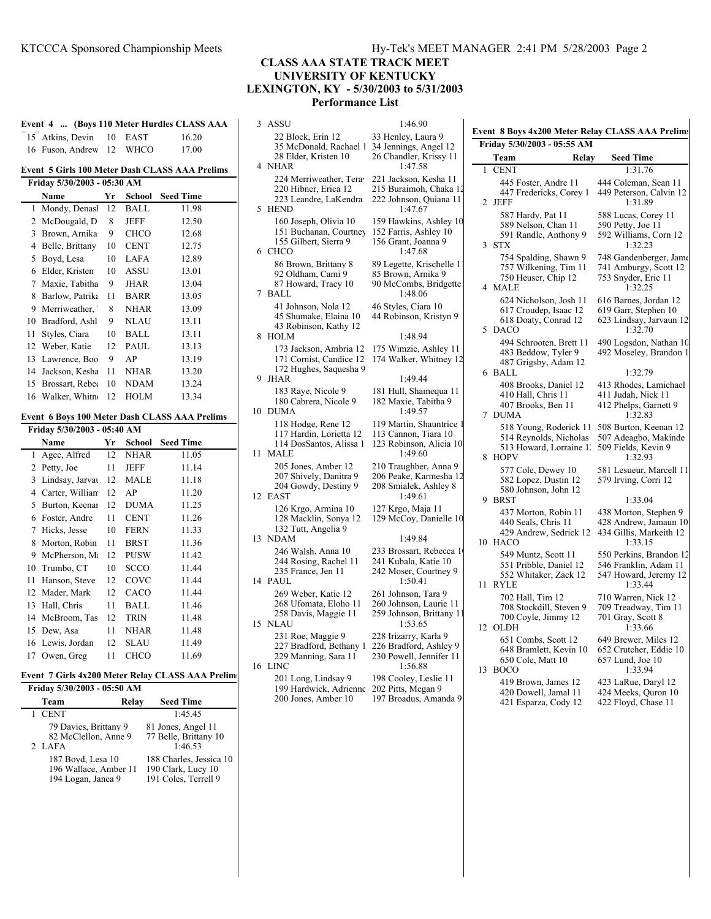# **CLASS AAA STATE TRACK MEET UNIVERSITY OF KENTUCKY LEXINGTON, KY - 5/30/2003 to 5/31/2003 Performance List**

| Event 4  (Boys 110 Meter Hurdles CLASS AAA     |                             |    |  |                         |  |  |
|------------------------------------------------|-----------------------------|----|--|-------------------------|--|--|
|                                                | 15 Atkins, Devin 10 EAST    |    |  | 16.20                   |  |  |
|                                                | 16 Fuson, Andrew 12 WHCO    |    |  | 17.00                   |  |  |
| Event 5 Girls 100 Meter Dash CLASS AAA Prelims |                             |    |  |                         |  |  |
| Friday 5/30/2003 - 05:30 AM                    |                             |    |  |                         |  |  |
|                                                | Name                        | Yr |  | <b>School</b> Seed Time |  |  |
|                                                | 1 Mondy Denasl 12 RALL 1198 |    |  |                         |  |  |

| 1  | Mondy, Denasl    | 12 | BALL        | 11.98 |
|----|------------------|----|-------------|-------|
| 2  | McDougald, D     | 8  | <b>JEFF</b> | 12.50 |
| 3  | Brown, Arnika    | 9  | <b>CHCO</b> | 12.68 |
| 4  | Belle, Brittany  | 10 | CENT        | 12.75 |
| 5  | Boyd, Lesa       | 10 | LAFA        | 12.89 |
| 6  | Elder, Kristen   | 10 | ASSU        | 13.01 |
| 7  | Maxie, Tabitha   | 9  | JHAR        | 13.04 |
| 8  | Barlow, Patrika  | 11 | <b>BARR</b> | 13.05 |
| 9  | Merriweather,    | 8  | <b>NHAR</b> | 13.09 |
| 10 | Bradford, Ashl   | 9  | <b>NLAU</b> | 13.11 |
| 11 | Styles, Ciara    | 10 | BALL        | 13.11 |
| 12 | Weber, Katie     | 12 | <b>PAUL</b> | 13.13 |
| 13 | Lawrence, Boo    | 9  | AP          | 13.19 |
| 14 | Jackson, Kesha   | 11 | <b>NHAR</b> | 13.20 |
| 15 | Brossart, Reber  | 10 | <b>NDAM</b> | 13.24 |
|    | 16 Walker, Whitn | 12 | <b>HOLM</b> | 13.34 |

#### **Event 6 Boys 100 Meter Dash CLASS AAA Prelims**

|    | Friday 5/30/2003 - 05:40 AM |    |             |                  |  |  |  |
|----|-----------------------------|----|-------------|------------------|--|--|--|
|    | Name                        | Yr | School      | <b>Seed Time</b> |  |  |  |
| 1  | Agee, Alfred                | 12 | NHAR        | 11.05            |  |  |  |
| 2  | Petty, Joe                  | 11 | JEFF        | 11.14            |  |  |  |
| 3  | Lindsay, Jarvai             | 12 | <b>MALE</b> | 11.18            |  |  |  |
| 4  | Carter, Willian             | 12 | AP          | 11.20            |  |  |  |
| 5  | Burton, Keenai              | 12 | <b>DUMA</b> | 11.25            |  |  |  |
| 6  | Foster, Andre               | 11 | <b>CENT</b> | 11.26            |  |  |  |
| 7  | Hicks, Jesse                | 10 | <b>FERN</b> | 11.33            |  |  |  |
| 8  | Morton, Robin               | 11 | <b>BRST</b> | 11.36            |  |  |  |
| 9  | McPherson, M                | 12 | PUSW        | 11.42            |  |  |  |
| 10 | Trumbo, CT                  | 10 | SCCO        | 11.44            |  |  |  |
| 11 | Hanson, Steve               | 12 | COVC        | 11.44            |  |  |  |
| 12 | Mader, Mark                 | 12 | <b>CACO</b> | 11.44            |  |  |  |
| 13 | Hall, Chris                 | 11 | BALL        | 11.46            |  |  |  |
| 14 | McBroom, Tas                | 12 | <b>TRIN</b> | 11.48            |  |  |  |
| 15 | Dew, Asa                    | 11 | <b>NHAR</b> | 11.48            |  |  |  |
| 16 | Lewis, Jordan               | 12 | SLAU        | 11.49            |  |  |  |
| 17 | Owen, Greg                  | 11 | <b>CHCO</b> | 11.69            |  |  |  |

# **Event 7 Girls 4x200 Meter Relay CLASS AAA Prelims**<br>Friday 5/30/2003 - 05:50 AM

| Friday 5/30/2003 - 05:50 AM                                      |       |                                                                       |
|------------------------------------------------------------------|-------|-----------------------------------------------------------------------|
| Team                                                             | Relay | <b>Seed Time</b>                                                      |
| 1 CENT                                                           |       | 1.45.45                                                               |
| 79 Davies, Brittany 9<br>82 McClellon, Anne 9<br>2 LAFA          |       | 81 Jones, Angel 11<br>77 Belle, Brittany 10<br>1.4653                 |
| 187 Boyd, Lesa 10<br>196 Wallace, Amber 11<br>194 Logan, Janea 9 |       | 188 Charles, Jessica 10<br>190 Clark, Lucy 10<br>191 Coles, Terrell 9 |

| 3  | ASSU                                                                                                | 1:46.90                                                                                |
|----|-----------------------------------------------------------------------------------------------------|----------------------------------------------------------------------------------------|
| 4  | 22 Block, Erin 12<br>35 McDonald, Rachael 1<br>28 Elder, Kristen 10<br><b>NHAR</b>                  | 33 Henley, Laura 9<br>34 Jennings, Angel 12<br>26 Chandler, Krissy 11<br>1:47.58       |
| 5  | 224 Merriweather, Tera <sup>,</sup><br>220 Hibner, Erica 12<br>223 Leandre, LaKendra<br><b>HEND</b> | 221 Jackson, Kesha 11<br>215 Buraimoh, Chaka 12<br>222 Johnson, Quiana 11<br>1:47.67   |
| 6  | 160 Joseph, Olivia 10<br>151 Buchanan, Courtney<br>155 Gilbert, Sierra 9<br>CHCO                    | 159 Hawkins, Ashley 10<br>152 Farris, Ashley 10<br>156 Grant, Joanna 9<br>1:47.68      |
| 7  | 86 Brown, Brittany 8<br>92 Oldham, Cami 9<br>87 Howard, Tracy 10<br><b>BALL</b>                     | 89 Legette, Krischelle 1<br>85 Brown, Arnika 9<br>90 McCombs, Bridgette<br>1:48.06     |
|    | 41 Johnson, Nola 12<br>45 Shumake, Elaina 10<br>43 Robinson, Kathy 12                               | 46 Styles, Ciara 10<br>44 Robinson, Kristyn 9                                          |
| 8  | <b>HOLM</b>                                                                                         | 1:48.94                                                                                |
|    | 173 Jackson, Ambria 12<br>171 Cornist, Candice 12<br>172 Hughes, Saquesha 9                         | 175 Wimzie, Ashley 11<br>174 Walker, Whitney 12                                        |
| 9  | JHAR                                                                                                | 1:49.44                                                                                |
| 10 | 183 Raye, Nicole 9<br>180 Cabrera, Nicole 9<br><b>DUMA</b>                                          | 181 Hull, Shamequa 11<br>182 Maxie, Tabitha 9<br>1:49.57                               |
| 11 | 118 Hodge, Rene 12<br>117 Hardin, Lorietta 12<br>114 DosSantos, Alissa 1<br>MALE                    | 119 Martin, Shauntrice 1<br>113 Cannon, Tiara 10<br>123 Robinson, Alicia 10<br>1:49.60 |
| 12 | 205 Jones, Amber 12<br>207 Shively, Danitra 9<br>204 Gowdy, Destiny 9<br><b>EAST</b>                | 210 Traughber, Anna 9<br>206 Peake, Karmesha 12<br>208 Smialek, Ashley 8<br>1:49.61    |
|    | 126 Krgo, Armina 10<br>128 Macklin, Sonya 12<br>132 Tutt, Angelia 9                                 | 127 Krgo, Maja 11<br>129 McCoy, Danielle 10                                            |
| 13 | NDAM                                                                                                | 1:49.84                                                                                |
| 14 | 246 Walsh, Anna 10<br>244 Rosing, Rachel 11<br>235 France, Jen 11<br>PAUL                           | 233 Brossart, Rebecca 1<br>241 Kubala, Katie 10<br>242 Moser, Courtney 9<br>1:50.41    |
| 15 | 269 Weber, Katie 12<br>268 Ufomata, Eloho 11<br>258 Davis, Maggie 11<br><b>NLAU</b>                 | 261 Johnson, Tara 9<br>260 Johnson, Laurie 11<br>259 Johnson, Brittany 11<br>1:53.65   |
| 16 | 231 Roe, Maggie 9<br>227 Bradford, Bethany 1<br>229 Manning, Sara 11<br><b>LINC</b>                 | 228 Irizarry, Karla 9<br>226 Bradford, Ashley 9<br>230 Powell, Jennifer 11<br>1:56.88  |
|    | 201 Long, Lindsay 9                                                                                 | 198 Cooley, Leslie 11                                                                  |

200 Jones, Amber 10 197 Broadus, Amanda 9

| Fennings, Anger 12<br>Ghandler, Krissy 11<br>1:47.58                              |  |
|-----------------------------------------------------------------------------------|--|
| 11 Jackson, Kesha 11<br>5 Buraimoh, Chaka 12<br>22 Johnson, Quiana 11<br>1:47.67  |  |
| 59 Hawkins, Ashley 10<br>2 Farris, Ashley 10<br>6 Grant, Joanna 9<br>1:47.68      |  |
| Legette, Krischelle 11<br>Brown, Arnika 9<br>McCombs, Bridgette<br>1:48.06        |  |
| Styles, Ciara 10<br>  Robinson, Kristyn 9                                         |  |
| 1:48.94<br><sup>1</sup> 5 Wimzie, Ashley 11<br><sup>1</sup> 4 Walker, Whitney 12  |  |
| 1:49.44                                                                           |  |
| 31 Hull, Shamequa 11<br>32 Maxie, Tabitha 9<br>1:49.57                            |  |
| 9 Martin, Shauntrice 1<br>3 Cannon, Tiara 10<br>3 Robinson, Alicia 10<br>1:49.60  |  |
| 0 Traughber, Anna 9<br>06 Peake, Karmesha 12<br>8 Smialek, Ashley 8<br>1:49.61    |  |
| 7 Krgo, Maja 11<br>9 McCoy, Danielle 10                                           |  |
| 1:49.84                                                                           |  |
| 3 Brossart, Rebecca 1<br>11 Kubala, Katie 10<br>2 Moser, Courtney 9<br>1:50.41    |  |
| 51 Johnson, Tara 9<br>60 Johnson, Laurie 11<br>9 Johnson, Brittany 11<br>1:53.65  |  |
| 28 Irizarry, Karla 9<br>26 Bradford, Ashley 9<br>0 Powell, Jennifer 11<br>1:56.88 |  |

199 Hardwick, Adrienne 202 Pitts, Megan 9

| Friday 5/30/2003 - 05:55 AM |                                                                                            |                                                                                      |  |  |  |  |  |  |
|-----------------------------|--------------------------------------------------------------------------------------------|--------------------------------------------------------------------------------------|--|--|--|--|--|--|
|                             | Team<br>Relay                                                                              | <b>Seed Time</b>                                                                     |  |  |  |  |  |  |
| 1                           | CENT                                                                                       | 1:31.76                                                                              |  |  |  |  |  |  |
| 2                           | 445 Foster, Andre 11<br>447 Fredericks, Corey 1<br>JEFF                                    | 444 Coleman, Sean 11<br>449 Peterson, Calvin 12<br>1:31.89                           |  |  |  |  |  |  |
| 3                           | 587 Hardy, Pat 11<br>589 Nelson, Chan 11<br>591 Randle, Anthony 9<br>STX                   | 588 Lucas, Corey 11<br>590 Petty, Joe 11<br>592 Williams, Corn 12<br>1:32.23         |  |  |  |  |  |  |
| 4                           | 754 Spalding, Shawn 9<br>757 Wilkening, Tim 11<br>750 Heuser, Chip 12<br>MALE              | 748 Gandenberger, Jame<br>741 Amburgy, Scott 12<br>753 Snyder, Eric 11<br>1:32.25    |  |  |  |  |  |  |
| 5                           | 624 Nicholson, Josh 11<br>617 Croudep, Isaac 12<br>618 Doaty, Conrad 12<br><b>DACO</b>     | 616 Barnes, Jordan 12<br>619 Garr, Stephen 10<br>623 Lindsay, Jarvaun 12<br>1:32.70  |  |  |  |  |  |  |
|                             | 494 Schrooten, Brett 11<br>483 Beddow, Tyler 9<br>487 Grigsby, Adam 12                     | 490 Logsdon, Nathan 10<br>492 Moseley, Brandon 1                                     |  |  |  |  |  |  |
| 6                           | BALL                                                                                       | 1:32.79                                                                              |  |  |  |  |  |  |
| 7                           | 408 Brooks, Daniel 12<br>410 Hall, Chris 11<br>407 Brooks, Ben 11<br><b>DUMA</b>           | 413 Rhodes, Lamichael<br>411 Judah, Nick 11<br>412 Phelps, Garnett 9<br>1:32.83      |  |  |  |  |  |  |
| 8                           | 518 Young, Roderick 11<br>514 Reynolds, Nicholas<br>513 Howard, Lorraine 1.<br><b>HOPV</b> | 508 Burton, Keenan 12<br>507 Adeagbo, Makinde<br>509 Fields, Kevin 9<br>1:32.93      |  |  |  |  |  |  |
| 9                           | 577 Cole, Dewey 10<br>582 Lopez, Dustin 12<br>580 Johnson, John 12<br><b>BRST</b>          | 581 Lesueur, Marcell 11<br>579 Irving, Corri 12<br>1:33.04                           |  |  |  |  |  |  |
| 10                          | 437 Morton, Robin 11<br>440 Seals, Chris 11<br>429 Andrew, Sedrick 12<br>HACO              | 438 Morton, Stephen 9<br>428 Andrew, Jamaun 10<br>434 Gillis, Markeith 12<br>1:33.15 |  |  |  |  |  |  |
| 11                          | 549 Muntz, Scott 11<br>551 Pribble, Daniel 12<br>552 Whitaker, Zack 12<br><b>RYLE</b>      | 550 Perkins, Brandon 12<br>546 Franklin, Adam 11<br>547 Howard, Jeremy 12<br>1:33.44 |  |  |  |  |  |  |
| 12                          | 702 Hall, Tim 12<br>708 Stockdill, Steven 9<br>700 Coyle, Jimmy 12<br><b>OLDH</b>          | 710 Warren, Nick 12<br>709 Treadway, Tim 11<br>701 Gray, Scott 8<br>1:33.66          |  |  |  |  |  |  |
| 13                          | 651 Combs, Scott 12<br>648 Bramlett, Kevin 10<br>650 Cole, Matt 10<br><b>BOCO</b>          | 649 Brewer, Miles 12<br>652 Crutcher, Eddie 10<br>657 Lund, Joe 10<br>1:33.94        |  |  |  |  |  |  |
|                             | 419 Brown, James 12<br>420 Dowell, Jamal 11<br>421 Esparza, Cody 12                        | 423 LaRue, Daryl 12<br>424 Meeks, Quron 10<br>422 Floyd, Chase 11                    |  |  |  |  |  |  |

**Event 8 Boys 4x200 Meter Relay CLASS AAA Prelims**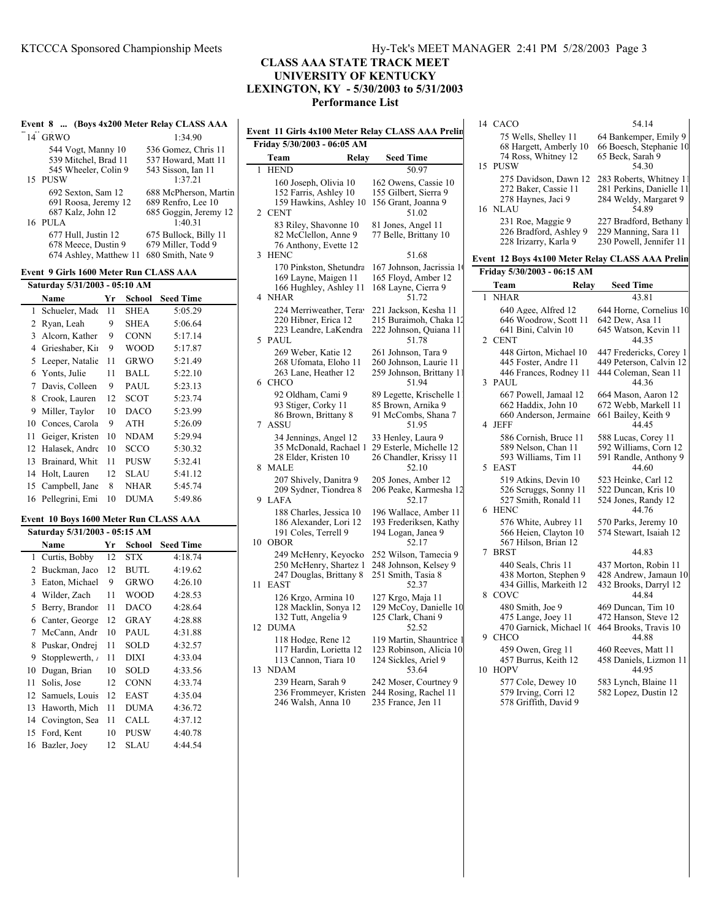#### **CLASS AAA STATE TRACK MEET UNIVERSITY OF KENTUCKY LEXINGTON, KY - 5/30/2003 to 5/31/2003 Performance List**

|   |                                                                            |    |             | Event 8  (Boys 4x200 Meter Relay CLASS AAA                                                         |                                                                                    |       |                                                                               |
|---|----------------------------------------------------------------------------|----|-------------|----------------------------------------------------------------------------------------------------|------------------------------------------------------------------------------------|-------|-------------------------------------------------------------------------------|
|   | 14 GRWO                                                                    |    |             | 1:34.90                                                                                            |                                                                                    |       | Event 11 Girls 4x100 Meter Relay CLASS AAA Prelin                             |
|   | 544 Vogt, Manny 10<br>539 Mitchel, Brad 11                                 |    |             | 536 Gomez, Chris 11<br>537 Howard, Matt 11                                                         | Friday 5/30/2003 - 06:05 AM<br>Team                                                | Relay | <b>Seed Time</b>                                                              |
|   | 545 Wheeler, Colin 9                                                       |    |             | 543 Sisson, Ian 11                                                                                 | 1 HEND                                                                             |       | 50.97                                                                         |
|   | 15 PUSW<br>692 Sexton, Sam 12<br>691 Roosa, Jeremy 12<br>687 Kalz, John 12 |    |             | 1:37.21<br>688 McPherson, Martin<br>689 Renfro, Lee 10<br>685 Goggin, Jeremy 12                    | 160 Joseph, Olivia 10<br>152 Farris, Ashley 10<br>159 Hawkins, Ashley 10<br>2 CENT |       | 162 Owens, Cassie 10<br>155 Gilbert, Sierra 9<br>156 Grant, Joanna 9<br>51.02 |
|   | 16 PULA<br>677 Hull, Justin 12<br>678 Meece, Dustin 9                      |    |             | 1:40.31<br>675 Bullock, Billy 11<br>679 Miller, Todd 9<br>674 Ashley, Matthew 11 680 Smith, Nate 9 | 83 Riley, Shavonne 10<br>82 McClellon, Anne 9<br>76 Anthony, Evette 12<br>3 HENC   |       | 81 Jones, Angel 11<br>77 Belle, Brittany 10<br>51.68                          |
|   | Event 9 Girls 1600 Meter Run CLASS AAA                                     |    |             |                                                                                                    | 170 Pinkston, Shetundra                                                            |       | 167 Johnson, Jacrissia 1                                                      |
|   | Saturday 5/31/2003 - 05:10 AM                                              |    |             |                                                                                                    | 169 Layne, Maigen 11<br>166 Hughley, Ashley 11                                     |       | 165 Floyd, Amber 12<br>168 Layne, Cierra 9                                    |
|   | Name                                                                       | Yr |             | <b>School</b> Seed Time                                                                            | 4 NHAR                                                                             |       | 51.72                                                                         |
|   | 1 Schueler, Made                                                           | 11 | <b>SHEA</b> | 5:05.29                                                                                            | 224 Merriweather, Tera                                                             |       | 221 Jackson, Kesha 11                                                         |
|   | 2 Ryan, Leah                                                               | 9  | <b>SHEA</b> | 5:06.64                                                                                            | 220 Hibner, Erica 12                                                               |       | 215 Buraimoh, Chaka 12                                                        |
|   | 3 Alcorn, Kather                                                           | 9  | <b>CONN</b> | 5:17.14                                                                                            | 223 Leandre, LaKendra<br>5 PAUL                                                    |       | 222 Johnson, Quiana 11<br>51.78                                               |
|   | 4 Grieshaber, Kii                                                          | 9  | <b>WOOD</b> | 5:17.87                                                                                            | 269 Weber, Katie 12                                                                |       | 261 Johnson, Tara 9                                                           |
|   | 5 Leeper, Natalie                                                          | 11 | <b>GRWO</b> | 5:21.49                                                                                            | 268 Ufomata, Eloho 11                                                              |       | 260 Johnson, Laurie 11                                                        |
|   | 6 Yonts, Julie                                                             | 11 | <b>BALL</b> | 5:22.10                                                                                            | 263 Lane, Heather 12                                                               |       | 259 Johnson, Brittany 11                                                      |
|   | 7 Davis, Colleen                                                           | 9  | <b>PAUL</b> | 5:23.13                                                                                            | 6 CHCO                                                                             |       | 51.94                                                                         |
| 8 | Crook, Lauren                                                              | 12 | <b>SCOT</b> | 5:23.74                                                                                            | 92 Oldham, Cami 9<br>93 Stiger, Corky 11                                           |       | 89 Legette, Krischelle 1<br>85 Brown, Arnika 9                                |
| 9 | Miller, Taylor                                                             | 10 | <b>DACO</b> | 5:23.99                                                                                            | 86 Brown, Brittany 8                                                               |       | 91 McCombs, Shana 7                                                           |
|   | 10 Conces, Carola                                                          | 9  | <b>ATH</b>  | 5:26.09                                                                                            | 7 ASSU                                                                             |       | 51.95                                                                         |
|   | 11 Geiger, Kristen                                                         | 10 | <b>NDAM</b> | 5:29.94                                                                                            | 34 Jennings, Angel 12                                                              |       | 33 Henley, Laura 9                                                            |
|   | 12 Halasek, Andre                                                          | 10 | <b>SCCO</b> | 5:30.32                                                                                            | 35 McDonald, Rachael 1                                                             |       | 29 Esterle, Michelle 12                                                       |
|   | 13 Brainard, Whit                                                          | 11 | <b>PUSW</b> | 5:32.41                                                                                            | 28 Elder, Kristen 10<br>8 MALE                                                     |       | 26 Chandler, Krissy 11<br>52.10                                               |
|   | 14 Holt, Lauren                                                            | 12 | <b>SLAU</b> | 5:41.12                                                                                            | 207 Shively, Danitra 9                                                             |       | 205 Jones, Amber 12                                                           |
|   | 15 Campbell, Jane                                                          | 8  | <b>NHAR</b> | 5:45.74                                                                                            | 209 Sydner, Tiondrea 8                                                             |       | 206 Peake, Karmesha 12                                                        |
|   | 16 Pellegrini, Emi                                                         | 10 | <b>DUMA</b> | 5:49.86                                                                                            | 9 LAFA                                                                             |       | 52.17                                                                         |
|   | Event 10 Boys 1600 Meter Run CLASS AAA                                     |    |             |                                                                                                    | 188 Charles, Jessica 10                                                            |       | 196 Wallace, Amber 11                                                         |
|   | Saturday 5/31/2003 - 05:15 AM                                              |    |             |                                                                                                    | 186 Alexander, Lori 12<br>191 Coles, Terrell 9                                     |       | 193 Frederiksen, Kathy<br>194 Logan, Janea 9                                  |
|   | Name                                                                       | Yr |             | <b>School</b> Seed Time                                                                            | 10 OBOR                                                                            |       | 52.17                                                                         |
|   | 1 Curtis, Bobby                                                            | 12 | <b>STX</b>  | 4:18.74                                                                                            | 249 McHenry, Keyocko                                                               |       | 252 Wilson, Tamecia 9                                                         |
|   | 2 Buckman, Jaco                                                            | 12 | <b>BUTL</b> | 4:19.62                                                                                            | 250 McHenry, Shartez 1                                                             |       | 248 Johnson, Kelsey 9                                                         |
|   | 3 Eaton, Michael                                                           | 9  | <b>GRWO</b> | 4:26.10                                                                                            | 247 Douglas, Brittany 8<br>11 EAST                                                 |       | 251 Smith, Tasia 8<br>52.37                                                   |
|   | 4 Wilder, Zach                                                             | 11 | <b>WOOD</b> | 4:28.53                                                                                            | 126 Krgo, Armina 10                                                                |       | 127 Krgo, Maja 11                                                             |
|   | 5 Berry, Brandor                                                           | 11 | <b>DACO</b> | 4:28.64                                                                                            | 128 Macklin, Sonya 12                                                              |       | 129 McCoy, Danielle 10                                                        |
|   | 6 Canter, George                                                           | 12 | <b>GRAY</b> | 4:28.88                                                                                            | 132 Tutt, Angelia 9                                                                |       | 125 Clark, Chani 9                                                            |
|   | 7 McCann, Andr                                                             | 10 | <b>PAUL</b> | 4:31.88                                                                                            | 12 DUMA                                                                            |       | 52.52                                                                         |
| 8 | Puskar. Ondrei                                                             | 11 | <b>SOLD</b> | 4:32.57                                                                                            | 118 Hodge, Rene 12                                                                 |       | 119 Martin, Shauntrice 1                                                      |

|    | $J$ Eaton, interfact | $\mathbf{z}$ | UIVW        | 4.20.10 |
|----|----------------------|--------------|-------------|---------|
|    | 4 Wilder, Zach       | 11           | <b>WOOD</b> | 4:28.53 |
|    | 5 Berry, Brandor     | 11           | <b>DACO</b> | 4:28.64 |
| 6. | Canter, George       | 12           | <b>GRAY</b> | 4:28.88 |
|    | 7 McCann, Andr       | 10           | <b>PAUL</b> | 4:31.88 |
| 8  | Puskar, Ondrej       | 11           | <b>SOLD</b> | 4:32.57 |
| 9  | Stopplewerth,        | 11           | <b>DIXI</b> | 4:33.04 |
| 10 | Dugan, Brian         | 10           | <b>SOLD</b> | 4:33.56 |
| 11 | Solis, Jose          | 12           | <b>CONN</b> | 4:33.74 |
|    | 12 Samuels, Louis    | 12           | <b>EAST</b> | 4:35.04 |
|    | 13 Haworth, Mich     | 11           | <b>DUMA</b> | 4:36.72 |
|    | 14 Covington, Sea    | 11           | CALL        | 4:37.12 |
|    | 15 Ford, Kent        | 10           | <b>PUSW</b> | 4:40.78 |
|    | 16 Bazler, Joev      | 12           | SLAU        | 4:44.54 |

#### via 10 162 Owens, Cassie 10 ley 10 155 Gilbert, Sierra 9 159 Hawkins, Ashley 10 156 Grant, Joanna 9 51.02 onne 10 81 Jones, Angel 11<br>Anne 9 77 Belle, Brittany 1 77 Belle, Brittany 10  $\text{7}$  rette 12 3 HENC 51.68 170 Binkston, Shetundra 167 Johnson, Jacrissia<br>165 Floyd, Amber 165 Floyd, Amber 12 shley 11 168 Layne, Cierra 9 51.72 er, Teray 221 Jackson, Kesha 11 2215 Buraimoh, Chaka 12<br>222 Johnson, Quiana 11 222 Johnson, Quiana 11 51.78 261 Johnson, Tara 9<br>20 Johnson, Taurie 260 Johnson, Laurie 11 her 12 259 Johnson, Brittany 1 51.94 mi 9 89 Legette, Krischelle 1 93 y 11 85 Brown, Arnika 9<br>93 McCombs, Shana 91 McCombs, Shana 7 51.95 ngel 12 33 Henley, Laura 9 Rachael 1 29 Esterle, Michelle 12 en 10 26 Chandler, Krissy 11 52.10 expanded and the 205 Jones, Amber 12<br>206 Peake, Karmesha 206 Peake, Karmesha 12  $52.17$ ssica 10 196 Wallace, Amber 11 Lori 12 193 Frederiksen, Kathy ell 9 194 Logan, Janea 9  $52.17$ Keyocko 252 Wilson, Tamecia 9 Shartez 1 248 Johnson, Kelsey 9 Frittany 8 251 Smith, Tasia 8 52.37 ina 10 127 Krgo, Maja 11 onya 12 129 McCoy, Danielle 10 125 Clark, Chani 9<br>52 52 12 DUMA 52.52 118 Hodge, Rene 12 119 Martin, Shauntrice 117 Hardin, Lorietta 12 123 Robinson, Alicia 10 123 Robinson, Alicia 10<br>124 Sickles, Ariel 9 113 Cannon, Tiara 10 13 NDAM 53.64 239 Hearn, Sarah 9 242 Moser, Courtney 9

236 Frommeyer, Kristen 244 Rosing, Rachel 11<br>246 Walsh, Anna 10 235 France, Jen 11 246 Walsh, Anna 10

|        | 14 CACO                                                                                        | 54.14                                                                                    |
|--------|------------------------------------------------------------------------------------------------|------------------------------------------------------------------------------------------|
| 15     | 75 Wells, Shelley 11<br>68 Hargett, Amberly 10<br>74 Ross, Whitney 12<br>PUSW                  | 64 Bankemper, Emily 9<br>66 Boesch, Stephanie 10<br>65 Beck, Sarah 9<br>54.30            |
| 16     | 275 Davidson, Dawn 12<br>272 Baker, Cassie 11<br>278 Haynes, Jaci 9<br>NLAU                    | 283 Roberts, Whitney 11<br>281 Perkins, Danielle 11<br>284 Weldy, Margaret 9<br>54.89    |
|        | 231 Roe, Maggie 9<br>226 Bradford, Ashley 9<br>228 Irizarry, Karla 9                           | 227 Bradford, Bethany 1<br>229 Manning, Sara 11<br>230 Powell, Jennifer 11               |
|        | Event  12 Boys 4x100 Meter Relay CLASS AAA Prelin                                              |                                                                                          |
|        | Friday 5/30/2003 - 06:15 AM                                                                    |                                                                                          |
|        | Team<br>Relay                                                                                  | <b>Seed Time</b>                                                                         |
| 1      | <b>NHAR</b>                                                                                    | 43.81                                                                                    |
|        | 640 Agee, Alfred 12<br>646 Woodrow, Scott 11<br>641 Bini, Calvin 10<br>2 CENT                  | 644 Horne, Cornelius 10<br>642 Dew, Asa 11<br>645 Watson, Kevin 11<br>44.35              |
| 3      | 448 Girton, Michael 10<br>445 Foster, Andre 11<br>446 Frances, Rodney 11<br><b>PAUL</b>        | 447 Fredericks, Corey 1<br>449 Peterson, Calvin 12<br>444 Coleman, Sean 11<br>44.36      |
| 4      | 667 Powell, Jamaal 12<br>662 Haddix, John 10<br>660 Anderson, Jermaine<br>JEFF                 | 664 Mason, Aaron 12<br>672 Webb, Markell 11<br>661 Bailey, Keith 9<br>44.45              |
| 5      | 586 Cornish, Bruce 11<br>589 Nelson, Chan 11<br>593 Williams, Tim 11<br><b>EAST</b>            | 588 Lucas, Corey 11<br>592 Williams, Corn 12<br>591 Randle, Anthony 9<br>44.60           |
| 6      | 519 Atkins, Devin 10<br>526 Scruggs, Sonny 11<br>527 Smith, Ronald 11<br><b>HENC</b>           | 523 Heinke, Carl 12<br>522 Duncan, Kris 10<br>524 Jones, Randy 12<br>44.76               |
|        | 576 White, Aubrey 11<br>566 Heien, Clayton 10<br>567 Hilson, Brian 12                          | 570 Parks, Jeremy 10<br>574 Stewart, Isaiah 12                                           |
| 7<br>8 | <b>BRST</b><br>440 Seals, Chris 11<br>438 Morton, Stephen 9<br>434 Gillis, Markeith 12<br>COVC | 44.83<br>437 Morton, Robin 11<br>428 Andrew, Jamaun 10<br>432 Brooks, Darryl 12<br>44.84 |
| 9      | 480 Smith, Joe 9<br>475 Lange, Joey 11<br>470 Garnick, Michael 10<br><b>CHCO</b>               | 469 Duncan, Tim 10<br>472 Hanson, Steve 12<br>464 Brooks, Travis 10<br>44.88             |
| 10     | 459 Owen, Greg 11<br>457 Burrus, Keith 12<br><b>HOPV</b><br>577 Cole, Dewey 10                 | 460 Reeves, Matt 11<br>458 Daniels, Lizmon 11<br>44.95<br>583 Lynch, Blaine 11           |
|        | 579 Irving, Corri 12<br>578 Griffith, David 9                                                  | 582 Lopez, Dustin 12                                                                     |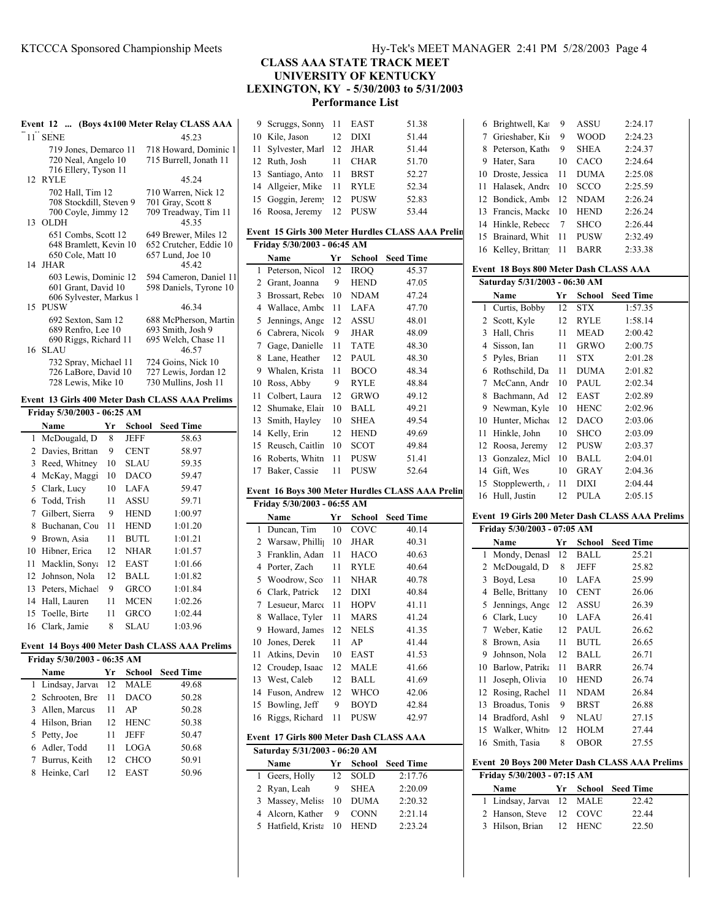| Event 12  (Boys 4x100 Meter Relay CLASS AAA                                        |                                                                             |  |  |
|------------------------------------------------------------------------------------|-----------------------------------------------------------------------------|--|--|
| 11 SENE                                                                            | 45.23                                                                       |  |  |
| 719 Jones, Demarco 11<br>720 Neal, Angelo 10<br>716 Ellery, Tyson 11               | 718 Howard, Dominic 1<br>715 Burrell, Jonath 11                             |  |  |
| 12 RYLE                                                                            | 45.24                                                                       |  |  |
| 702 Hall, Tim 12<br>708 Stockdill, Steven 9<br>700 Coyle, Jimmy 12<br>13 OLDH      | 710 Warren, Nick 12<br>701 Gray, Scott 8<br>709 Treadway, Tim 11<br>45.35   |  |  |
| 651 Combs, Scott 12<br>648 Bramlett, Kevin 10<br>650 Cole, Matt 10<br>14 JHAR      | 649 Brewer, Miles 12<br>652 Crutcher, Eddie 10<br>657 Lund, Joe 10<br>45.42 |  |  |
| 603 Lewis, Dominic 12<br>601 Grant, David 10<br>606 Sylvester, Markus 1<br>15 PUSW | 594 Cameron, Daniel 11<br>598 Daniels, Tyrone 10<br>46.34                   |  |  |
| 692 Sexton, Sam 12<br>689 Renfro, Lee 10<br>690 Riggs, Richard 11<br>16 SLAU       | 688 McPherson, Martin<br>693 Smith, Josh 9<br>695 Welch, Chase 11<br>46.57  |  |  |
| 732 Spray, Michael 11<br>726 LaBore, David 10<br>728 Lewis, Mike 10                | 724 Goins, Nick 10<br>727 Lewis, Jordan 12<br>730 Mullins, Josh 11          |  |  |

# **Event 13 Girls 400 Meter Dash CLASS AAA Prelims**

| Friday 5/30/2003 - 06:25 AM |                 |    |             |                  |
|-----------------------------|-----------------|----|-------------|------------------|
|                             | Name            | Yr | School      | <b>Seed Time</b> |
| 1                           | McDougald, D    | 8  | JEFF        | 58.63            |
| 2                           | Davies, Brittan | 9  | <b>CENT</b> | 58.97            |
| 3                           | Reed, Whitney   | 10 | SLAU        | 59.35            |
| 4                           | McKay, Maggi    | 10 | <b>DACO</b> | 59.47            |
| 5                           | Clark, Lucy     | 10 | <b>LAFA</b> | 59.47            |
| 6                           | Todd, Trish     | 11 | ASSU        | 59.71            |
| 7                           | Gilbert, Sierra | 9  | <b>HEND</b> | 1:00.97          |
| 8                           | Buchanan, Cou   | 11 | <b>HEND</b> | 1:01.20          |
| 9                           | Brown, Asia     | 11 | <b>BUTL</b> | 1:01.21          |
| 10                          | Hibner, Erica   | 12 | <b>NHAR</b> | 1:01.57          |
| 11                          | Macklin, Sonya  | 12 | EAST        | 1:01.66          |
| 12                          | Johnson, Nola   | 12 | BALL        | 1:01.82          |
| 13                          | Peters, Michae  | 9  | <b>GRCO</b> | 1:01.84          |
| 14                          | Hall, Lauren    | 11 | MCEN        | 1:02.26          |
| 15                          | Toelle, Birte   | 11 | <b>GRCO</b> | 1:02.44          |
| 16                          | Clark, Jamie    | 8  | SLAU        | 1:03.96          |

#### **Event 14 Boys 400 Meter Dash CLASS AAA Prelims**

| Friday 5/30/2003 - 06:35 AM |                   |    |             |                  |  |
|-----------------------------|-------------------|----|-------------|------------------|--|
| Name                        |                   | Yr | School      | <b>Seed Time</b> |  |
|                             | 1 Lindsay, Jarvay |    | 12 MALE     | 49.68            |  |
|                             | 2 Schrooten, Bre  | 11 | <b>DACO</b> | 50.28            |  |
|                             | 3 Allen, Marcus   | 11 | AP          | 50.28            |  |
|                             | 4 Hilson, Brian   | 12 | <b>HENC</b> | 50.38            |  |
| 5 Petty, Joe                |                   | 11 | <b>JEFF</b> | 50.47            |  |
|                             | 6 Adler, Todd     | 11 | LOGA        | 50.68            |  |
|                             | 7 Burrus, Keith   | 12 | <b>CHCO</b> | 50.91            |  |
| 8                           | Heinke, Carl      | 12 | EAST        | 50.96            |  |

# KTCCCA Sponsored Championship Meets Hy-Tek's MEET MANAGER 2:41 PM 5/28/2003 Page 4

**CLASS AAA STATE TRACK MEET**

**UNIVERSITY OF KENTUCKY**

**LEXINGTON, KY - 5/30/2003 to 5/31/2003**

**Performance List**

| 9      | Scruggs, Sonny                          | 11 | EAST        | 51.38                                             |
|--------|-----------------------------------------|----|-------------|---------------------------------------------------|
| 10     | Kile, Jason                             | 12 | DIXI        | 51.44                                             |
| 11     | Sylvester, Marl                         | 12 | JHAR        | 51.44                                             |
| 12     | Ruth, Josh                              | 11 | CHAR        | 51.70                                             |
| 13     | Santiago, Anto                          | 11 | <b>BRST</b> | 52.27                                             |
| 14     | Allgeier, Mike                          | 11 | <b>RYLE</b> | 52.34                                             |
| 15     | Goggin, Jerem                           | 12 | <b>PUSW</b> | 52.83                                             |
| 16     | Roosa, Jeremy                           | 12 | PUSW        | 53.44                                             |
|        |                                         |    |             |                                                   |
|        |                                         |    |             | Event 15 Girls 300 Meter Hurdles CLASS AAA Prelin |
|        | Friday 5/30/2003 - 06:45 AM             |    |             |                                                   |
|        | Name                                    | Yr | School      | <b>Seed Time</b>                                  |
| 1      | Peterson, Nicol                         | 12 | <b>IROQ</b> | 45.37                                             |
| 2      | Grant, Joanna                           | 9  | HEND        | 47.05                                             |
| 3      | Brossart, Rebec                         | 10 | NDAM        | 47.24                                             |
| 4      | Wallace, Ambe                           | 11 | LAFA        | 47.70                                             |
| 5      | Jennings, Ange                          | 12 | ASSU        | 48.01                                             |
| 6      | Cabrera, Nicole                         | 9  | <b>JHAR</b> | 48.09                                             |
| $\tau$ | Gage, Danielle                          | 11 | TATE        | 48.30                                             |
| 8      | Lane, Heather                           | 12 | PAUL        | 48.30                                             |
| 9      | Whalen, Krista                          | 11 | <b>BOCO</b> | 48.34                                             |
| 10     | Ross, Abby                              | 9  | <b>RYLE</b> |                                                   |
| 11     | Colbert, Laura                          | 12 | <b>GRWO</b> | 48.84                                             |
|        | Shumake, Elair                          |    |             | 49.12                                             |
| 12     |                                         | 10 | BALL        | 49.21                                             |
| 13     | Smith, Hayley                           | 10 | <b>SHEA</b> | 49.54                                             |
| 14     | Kelly, Erin                             | 12 | <b>HEND</b> | 49.69                                             |
| 15     | Reusch, Caitlin                         | 10 | <b>SCOT</b> | 49.84                                             |
| 16     | Roberts, Whitn                          | 11 | <b>PUSW</b> | 51.41                                             |
| 17     | Baker, Cassie                           | 11 | PUSW        | 52.64                                             |
|        |                                         |    |             |                                                   |
|        |                                         |    |             |                                                   |
|        |                                         |    |             | Event 16 Boys 300 Meter Hurdles CLASS AAA Prelin  |
|        | Friday 5/30/2003 - 06:55 AM             |    |             |                                                   |
|        | Name                                    | Yr | School      | <b>Seed Time</b>                                  |
| 1      | Duncan, Tim                             | 10 | COVC        | 40.14                                             |
| 2      | Warsaw, Philli                          | 10 | JHAR        | 40.31                                             |
| 3      | Franklin, Adan                          | 11 | <b>HACO</b> | 40.63                                             |
| 4      | Porter, Zach                            | 11 | <b>RYLE</b> | 40.64                                             |
| 5      | Woodrow, Sco                            | 11 | NHAR        | 40.78                                             |
| 6      | Clark, Patrick                          | 12 | DIXI        | 40.84                                             |
| 7      | Lesueur, Marce                          | 11 | <b>HOPV</b> | 41.11                                             |
| 8      | Wallace, Tyler                          | 11 | MARS        | 41.24                                             |
| 9      | Howard, James                           | 12 | NELS        | 41.35                                             |
| 10     | Jones, Derek                            | 11 | AP          | 41.44                                             |
| 11     | Atkins, Devin                           | 10 | EAST        | 41.53                                             |
| 12     | Croudep, Isaac                          | 12 | MALE        | 41.66                                             |
| 13     | West, Caleb                             | 12 | <b>BALL</b> | 41.69                                             |
| 14     | Fuson, Andrew                           | 12 | <b>WHCO</b> | 42.06                                             |
| 15     | Bowling, Jeff                           | 9  | BOYD        | 42.84                                             |
| 16     | Riggs, Richard                          | 11 | PUSW        | 42.97                                             |
|        |                                         |    |             |                                                   |
|        | Event 17 Girls 800 Meter Dash CLASS AAA |    |             |                                                   |
|        | Saturday 5/31/2003 - 06:20 AM           |    |             |                                                   |
|        | Name                                    | Yr | School      | <b>Seed Time</b>                                  |
| 1      | Geers, Holly                            | 12 | SOLD        | 2:17.76                                           |
| 2      | Ryan, Leah                              | 9  | SHEA        | 2:20.09                                           |
| 3      | Massey, Meliss                          | 10 | <b>DUMA</b> | 2:20.32                                           |
| 4<br>5 | Alcorn, Kather<br>Hatfield, Krista      | 9  | CONN        | 2:21.14<br>2:23.24                                |

|    |                                        |    |             | 2:24.17                                         |
|----|----------------------------------------|----|-------------|-------------------------------------------------|
| 6  | Brightwell, Ka                         | 9  | ASSU        |                                                 |
| 7  | Grieshaber, Kiı                        | 9  | <b>WOOD</b> | 2:24.23                                         |
| 8  | Peterson, Katho                        | 9  | <b>SHEA</b> | 2:24.37                                         |
| 9  | Hater, Sara                            | 10 | CACO        | 2:24.64                                         |
| 10 | Droste, Jessica                        | 11 | <b>DUMA</b> | 2:25.08                                         |
| 11 | Halasek, Andre                         | 10 | SCCO        | 2:25.59                                         |
| 12 | Bondick, Amb                           | 12 | <b>NDAM</b> | 2:26.24                                         |
| 13 | Francis, Macke                         | 10 | <b>HEND</b> | 2:26.24                                         |
| 14 | Hinkle, Rebecc                         | 7  |             |                                                 |
|    |                                        |    | SHCO        | 2:26.44                                         |
| 15 | Brainard, Whit                         | 11 | PUSW        | 2:32.49                                         |
| 16 | Kelley, Brittan                        | 11 | <b>BARR</b> | 2:33.38                                         |
|    | Event 18 Boys 800 Meter Dash CLASS AAA |    |             |                                                 |
|    | Saturday 5/31/2003 - 06:30 AM          |    |             |                                                 |
|    |                                        |    |             |                                                 |
|    | Name                                   | Yr | School      | <b>Seed Time</b>                                |
| 1  | Curtis, Bobby                          | 12 | <b>STX</b>  | 1:57.35                                         |
| 2  | Scott, Kyle                            | 12 | RYLE        | 1:58.14                                         |
| 3  | Hall, Chris                            | 11 | MEAD        | 2:00.42                                         |
| 4  | Sisson, Ian                            | 11 | GRWO        | 2:00.75                                         |
| 5  | Pyles, Brian                           | 11 | STX         | 2:01.28                                         |
| 6  | Rothschild, Da                         | 11 | <b>DUMA</b> | 2:01.82                                         |
| 7  | McCann, Andr                           | 10 | PAUL        | 2:02.34                                         |
| 8  | Bachmann, Ad                           | 12 | EAST        | 2:02.89                                         |
| 9  | Newman, Kyle                           | 10 | <b>HENC</b> | 2:02.96                                         |
| 10 | Hunter, Michae                         | 12 | DACO        | 2:03.06                                         |
|    |                                        |    |             |                                                 |
| 11 | Hinkle, John                           | 10 | SHCO        | 2:03.09                                         |
| 12 | Roosa, Jeremy                          | 12 | <b>PUSW</b> | 2:03.37                                         |
| 13 | Gonzalez, Micl                         | 10 | BALL        | 2:04.01                                         |
| 14 | Gift, Wes                              | 10 | GRAY        | 2:04.36                                         |
| 15 | Stopplewerth, a                        | 11 | DIXI        | 2:04.44                                         |
|    |                                        |    |             |                                                 |
| 16 | Hull, Justin                           | 12 | <b>PULA</b> | 2:05.15                                         |
|    |                                        |    |             |                                                 |
|    |                                        |    |             | Event 19 Girls 200 Meter Dash CLASS AAA Prelims |
|    | Friday 5/30/2003 - 07:05 AM            |    |             |                                                 |
|    | Name                                   | Yr | School      | <b>Seed Time</b>                                |
| 1  | Mondy, Denasl                          | 12 | <b>BALL</b> | 25.21                                           |
| 2  | McDougald, D                           | 8  | JEFF        | 25.82                                           |
| 3  | Boyd, Lesa                             | 10 | LAFA        | 25.99                                           |
| 4  |                                        | 10 | <b>CENT</b> | 26.06                                           |
|    | Belle, Brittany                        |    |             |                                                 |
| 5  | Jennings, Ange                         | 12 | ASSU        | 26.39                                           |
| 6  | Clark, Lucy                            | 10 | LAFA        | 26.41                                           |
| 7  | Weber, Katie                           | 12 | PAUL        | 26.62                                           |
| 8  | Brown, Asia                            | 11 | <b>BUTL</b> | 26.65                                           |
| 9  | Johnson, Nola                          | 12 | BALL        | 26.71                                           |
| 10 | Barlow, Patrika                        | 11 | <b>BARR</b> | 26.74                                           |
| 11 | Joseph, Olivia                         | 10 | HEND        | 26.74                                           |
| 12 | Rosing, Rachel                         | 11 | NDAM        | 26.84                                           |
| 13 | Broadus, Tonis                         | 9  | BRST        | 26.88                                           |
| 14 | Bradford, Ashl                         | 9  | NLAU        | 27.15                                           |
| 15 | Walker, Whitn                          | 12 | HOLM        | 27.44                                           |
| 16 | Smith, Tasia                           | 8  | OBOR        | 27.55                                           |
|    |                                        |    |             |                                                 |
|    |                                        |    |             | Event 20 Boys 200 Meter Dash CLASS AAA Prelims  |
|    | Friday 5/30/2003 - 07:15 AM            |    |             |                                                 |
|    | Name                                   | Yr | School      | <b>Seed Time</b>                                |
| 1  | Lindsay, Jarvat                        | 12 | MALE        | 22.42                                           |
| 2  | Hanson, Steve                          | 12 | COVC        | 22.44                                           |
| 3  | Hilson, Brian                          | 12 | HENC        | 22.50                                           |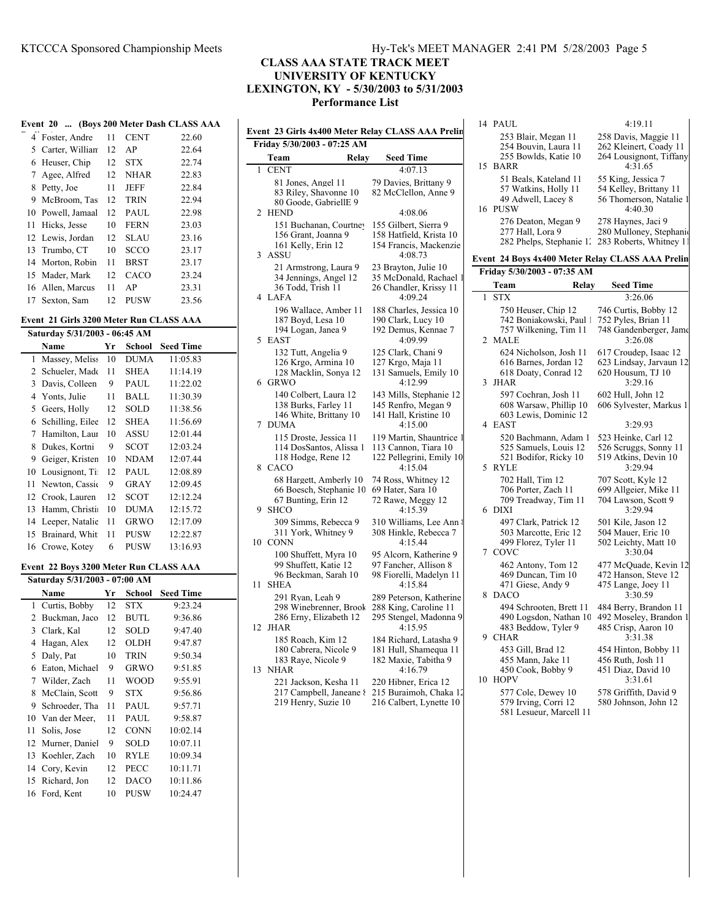14 PAUL 4:19.11

253 Blair, Megan 11 258 Davis, Maggie 11

# **CLASS AAA STATE TRACK MEET UNIVERSITY OF KENTUCKY LEXINGTON, KY - 5/30/2003 to 5/31/2003 Performance List**

|    |                                         |    |             | Event 20  (Boys 200 Meter Dash CLASS AAA |                     |
|----|-----------------------------------------|----|-------------|------------------------------------------|---------------------|
|    | 4 Foster, Andre                         | 11 | <b>CENT</b> | 22.60                                    | Event<br>Frid       |
|    | 5 Carter, William                       | 12 | AP          | 22.64                                    |                     |
| 6  | Heuser, Chip                            | 12 | <b>STX</b>  | 22.74                                    | $\overline{C}$<br>1 |
| 7  | Agee, Alfred                            | 12 | <b>NHAR</b> | 22.83                                    |                     |
| 8  | Petty, Joe                              | 11 | <b>JEFF</b> | 22.84                                    |                     |
| 9  | McBroom, Tas                            | 12 | <b>TRIN</b> | 22.94                                    |                     |
| 10 | Powell, Jamaal                          | 12 | PAUL        | 22.98                                    | 2F                  |
| 11 | Hicks, Jesse                            | 10 | FERN        | 23.03                                    |                     |
| 12 | Lewis, Jordan                           | 12 | SLAU        | 23.16                                    |                     |
| 13 | Trumbo, CT                              | 10 | <b>SCCO</b> | 23.17                                    | 3<br>$\overline{A}$ |
| 14 | Morton, Robin                           | 11 | BRST        | 23.17                                    |                     |
| 15 | Mader, Mark                             | 12 | CACO        | 23.24                                    |                     |
| 16 | Allen, Marcus                           | 11 | AP          | 23.31                                    |                     |
| 17 | Sexton, Sam                             | 12 | <b>PUSW</b> | 23.56                                    | 4 L                 |
|    | Event 21 Girls 3200 Meter Run CLASS AAA |    |             |                                          |                     |
|    | Saturday 5/31/2003 - 06:45 AM           |    |             |                                          | 5 F                 |
|    | Name                                    | Yr | School      | <b>Seed Time</b>                         |                     |
| 1  | Massey, Meliss                          | 10 | <b>DUMA</b> | 11:05.83                                 |                     |
| 2  | Schueler, Made                          | 11 | SHEA        | 11:14.19                                 |                     |
| 3  | Davis, Colleen                          | 9  | PAUL        | 11:22.02                                 | 6 (                 |
| 4  | Yonts, Julie                            | 11 | BALL        | 11:30.39                                 |                     |
| 5  | Geers, Holly                            | 12 | SOLD        | 11:38.56                                 |                     |
| 6  | Schilling, Eilee                        | 12 | SHEA        | 11:56.69                                 | 7 I                 |
| 7  | Hamilton, Laur                          | 10 | ASSU        | 12:01.44                                 |                     |
| 8  | Dukes, Kortni                           | 9  | SCOT        | 12:03.24                                 |                     |
| 9. | Geiger, Kristen                         | 10 | <b>NDAM</b> | 12:07.44                                 | 80                  |
| 10 | Lousignont, Ti                          | 12 | PAUL        | 12:08.89                                 |                     |
| 11 | Newton, Cassic                          | 9  | GRAY        | 12:09.45                                 |                     |
|    | 12 Crook, Lauren                        | 12 | SCOT        | 12:12.24                                 |                     |
|    | 13 Hamm, Christi                        | 10 | <b>DUMA</b> | 12:15.72                                 | -S<br>9             |
| 14 | Leeper, Natalie                         | 11 | <b>GRWO</b> | 12:17.09                                 |                     |
| 15 | Brainard, Whit                          | 11 | <b>PUSW</b> | 12:22.87                                 | 10 C                |
|    | 16 Crowe, Kotey                         | 6  | <b>PUSW</b> | 13:16.93                                 |                     |
|    | Event 22 Boys 3200 Meter Run CLASS AAA  |    |             |                                          |                     |
|    | Saturday 5/31/2003 - 07:00 AM           |    |             |                                          | S<br>11             |
|    | Name                                    | Yr | School      | <b>Seed Time</b>                         |                     |
|    | 1 Curtis, Bobby                         | 12 | <b>STX</b>  | 9:23.24                                  |                     |
| 2  | Buckman, Jaco                           | 12 | <b>BUTL</b> | 9:36.86                                  | 12 J                |
|    | 3 Clark, Kal                            | 12 | SOLD        | 9:47.40                                  |                     |
| 4  | Hagan, Alex                             | 12 | OLDH        | 9:47.87                                  |                     |
| 5  | Daly, Pat                               | 10 | TRIN        | 9:50.34                                  |                     |
| 6  | Eaton, Michael                          | 9  | GRWO        | 9:51.85                                  | 13 N                |
| 7  | Wilder, Zach                            | 11 | <b>WOOD</b> | 9:55.91                                  |                     |
| 8  | McClain, Scott                          | 9  | STX         | 9:56.86                                  |                     |
| 9  | Schroeder, Tha                          | 11 | PAUL        | 9:57.71                                  |                     |
| 10 | Van der Meer,                           | 11 | PAUL        | 9:58.87                                  |                     |
| 11 | Solis, Jose                             | 12 | CONN        | 10:02.14                                 |                     |
| 12 | Murner, Daniel                          | 9  | SOLD        | 10:07.11                                 |                     |
| 13 | Koehler, Zach                           | 10 | RYLE        | 10:09.34                                 |                     |
| 14 | Cory, Kevin                             | 12 | PECC        | 10:11.71                                 |                     |
| 15 | Richard, Jon                            | 12 | <b>DACO</b> | 10:11.86                                 |                     |
| 16 | Ford, Kent                              | 10 | <b>PUSW</b> | 10:24.47                                 |                     |
|    |                                         |    |             |                                          |                     |

|    | Event 23 Girls 4x400 Meter Relay CLASS AAA Prelin                                       |                                                                                         |  |  |  |  |
|----|-----------------------------------------------------------------------------------------|-----------------------------------------------------------------------------------------|--|--|--|--|
|    | Friday 5/30/2003 - 07:25 AM                                                             |                                                                                         |  |  |  |  |
|    | Team<br>Relay                                                                           | <b>Seed Time</b>                                                                        |  |  |  |  |
| 1  | <b>CENT</b><br>81 Jones, Angel 11<br>83 Riley, Shavonne 10<br>80 Goode, GabriellE 9     | 4:07.13<br>79 Davies, Brittany 9<br>82 McClellon, Anne 9                                |  |  |  |  |
| 2  | <b>HEND</b>                                                                             | 4:08.06                                                                                 |  |  |  |  |
| 3  | 151 Buchanan, Courtney<br>156 Grant, Joanna 9<br>161 Kelly, Erin 12<br>ASSU             | 155 Gilbert, Sierra 9<br>158 Hatfield, Krista 10<br>154 Francis, Mackenzie<br>4:08.73   |  |  |  |  |
| 4  | 21 Armstrong, Laura 9<br>34 Jennings, Angel 12<br>36 Todd, Trish 11<br>LAFA             | 23 Brayton, Julie 10<br>35 McDonald, Rachael 1<br>26 Chandler, Krissy 11<br>4:09.24     |  |  |  |  |
| 5  | 196 Wallace, Amber 11<br>187 Boyd, Lesa 10<br>194 Logan, Janea 9<br><b>EAST</b>         | 188 Charles, Jessica 10<br>190 Clark, Lucy 10<br>192 Demus, Kennae 7<br>4:09.99         |  |  |  |  |
| 6  | 132 Tutt, Angelia 9<br>126 Krgo, Armina 10<br>128 Macklin, Sonya 12<br><b>GRWO</b>      | 125 Clark, Chani 9<br>127 Krgo, Maja 11<br>131 Samuels, Emily 10<br>4:12.99             |  |  |  |  |
| 7  | 140 Colbert, Laura 12<br>138 Burks, Farley 11<br>146 White, Brittany 10<br><b>DUMA</b>  | 143 Mills, Stephanie 12<br>145 Renfro, Megan 9<br>141 Hall, Kristine 10<br>4:15.00      |  |  |  |  |
| 8  | 115 Droste, Jessica 11<br>114 DosSantos, Alissa 1<br>118 Hodge, Rene 12<br>CACO         | 119 Martin, Shauntrice 1<br>113 Cannon, Tiara 10<br>122 Pellegrini, Emily 10<br>4:15.04 |  |  |  |  |
| 9  | 68 Hargett, Amberly 10<br>66 Boesch, Stephanie 10<br>67 Bunting, Erin 12<br><b>SHCO</b> | 74 Ross, Whitney 12<br>69 Hater, Sara 10<br>72 Rawe, Meggy 12<br>4:15.39                |  |  |  |  |
|    | 309 Simms, Rebecca 9<br>311 York, Whitney 9<br>10 CONN                                  | 310 Williams, Lee Ann 8<br>308 Hinkle, Rebecca 7<br>4:15.44                             |  |  |  |  |
|    | 100 Shuffett, Myra 10<br>99 Shuffett, Katie 12<br>96 Beckman, Sarah 10                  | 95 Alcorn, Katherine 9<br>97 Fancher, Allison 8<br>98 Fiorelli, Madelyn 11              |  |  |  |  |
| 11 | <b>SHEA</b><br>291 Ryan, Leah 9                                                         | 4:15.84<br>289 Peterson, Katherine                                                      |  |  |  |  |
| 12 | 298 Winebrenner, Brook<br>286 Erny, Elizabeth 12<br><b>JHAR</b>                         | 288 King, Caroline 11<br>295 Stengel, Madonna 9<br>4:15.95                              |  |  |  |  |
| 13 | 185 Roach, Kim 12<br>180 Cabrera, Nicole 9<br>183 Raye, Nicole 9<br><b>NHAR</b>         | 184 Richard, Latasha 9<br>181 Hull, Shamequa 11<br>182 Maxie, Tabitha 9<br>4:16.79      |  |  |  |  |
|    | 221 Jackson, Kesha 11<br>217 Campbell, Janeane {                                        | 220 Hibner, Erica 12<br>215 Buraimoh, Chaka 12                                          |  |  |  |  |

219 Henry, Suzie 10 216 Calbert, Lynette 10

| Alcorn, Katherine 9   | CO             |
|-----------------------|----------------|
| Fancher, Allison 8    | 4              |
| Fiorelli, Madelyn 11  | 4              |
| 4:15.84               | $\overline{4}$ |
| 9 Peterson, Katherine | DA<br>8        |
| 8 King, Caroline 11   | 4              |
| 5 Stengel, Madonna 9  | $\overline{4}$ |
| 4:15.95               | 4              |
| 4 Richard, Latasha 9  | <b>CH</b>      |
| 1 Hull, Shamequa 11   | 4              |
| 2 Maxie, Tabitha 9    | $\overline{4}$ |
| 4:16.79               | 4              |
| 0 Hibner, Erica 12    | HО<br>10       |
| CD waimah Chalca 1    |                |

| 15 | 254 Bouvin, Laura 11<br>255 Bowlds, Katie 10<br><b>BARR</b>                        | 262 Kleinert, Coady 11<br>264 Lousignont, Tiffany<br>4:31.65                       |
|----|------------------------------------------------------------------------------------|------------------------------------------------------------------------------------|
| 16 | 51 Beals, Kateland 11<br>57 Watkins, Holly 11<br>49 Adwell, Lacey 8<br><b>PUSW</b> | 55 King, Jessica 7<br>54 Kelley, Brittany 11<br>56 Thomerson, Natalie 1<br>4:40.30 |
|    | 276 Deaton, Megan 9<br>277 Hall, Lora 9<br>282 Phelps, Stephanie 1.                | 278 Haynes, Jaci 9<br>280 Mulloney, Stephani<br>283 Roberts, Whitney 11            |
|    | Event  24 Boys 4x400 Meter Relay CLASS AAA Prelin                                  |                                                                                    |
|    | Friday 5/30/2003 - 07:35 AM                                                        |                                                                                    |
|    | Relay<br>Team                                                                      | <b>Seed Time</b>                                                                   |
| 1  | <b>STX</b>                                                                         | 3:26.06                                                                            |
|    | 750 Heuser, Chip 12<br>742 Boniakowski, Paul 1                                     | 746 Curtis, Bobby 12<br>752 Pyles, Brian 11                                        |
|    | 757 Wilkening, Tim 11                                                              | 748 Gandenberger, Jame                                                             |
| 2  | MALE                                                                               | 3:26.08                                                                            |
|    | 624 Nicholson, Josh 11                                                             | 617 Croudep, Isaac 12                                                              |
|    | 616 Barnes, Jordan 12                                                              | 623 Lindsay, Jarvaun 12                                                            |
| 3  | 618 Doaty, Conrad 12<br>JHAR                                                       | 620 Housum, TJ 10<br>3:29.16                                                       |
|    | 597 Cochran, Josh 11                                                               | 602 Hull, John 12                                                                  |
|    | 608 Warsaw, Phillip 10                                                             | 606 Sylvester, Markus 1                                                            |
|    | 603 Lewis, Dominic 12                                                              |                                                                                    |
| 4  | <b>EAST</b>                                                                        | 3:29.93                                                                            |
|    | 520 Bachmann, Adam 1                                                               | 523 Heinke, Carl 12                                                                |
|    | 525 Samuels, Louis 12<br>521 Bodifor, Ricky 10                                     | 526 Scruggs, Sonny 11<br>519 Atkins, Devin 10                                      |
| 5  | <b>RYLE</b>                                                                        | 3:29.94                                                                            |
|    | 702 Hall, Tim 12                                                                   | 707 Scott, Kyle 12                                                                 |
|    | 706 Porter, Zach 11                                                                | 699 Allgeier, Mike 11                                                              |
|    | 709 Treadway, Tim 11                                                               | 704 Lawson, Scott 9                                                                |
| 6  | <b>DIXI</b>                                                                        | 3:29.94                                                                            |
|    | 497 Clark, Patrick 12<br>503 Marcotte, Eric 12                                     | 501 Kile, Jason 12<br>504 Mauer, Eric 10                                           |
|    | 499 Florez, Tyler 11                                                               | 502 Leichty, Matt 10                                                               |
| 7  | COVC                                                                               | 3:30.04                                                                            |
|    | 462 Antony, Tom 12                                                                 | 477 McQuade, Kevin 12                                                              |
|    | 469 Duncan, Tim 10                                                                 | 472 Hanson, Steve 12                                                               |
| 8  | 471 Giese, Andy 9<br><b>DACO</b>                                                   | 475 Lange, Joey 11<br>3:30.59                                                      |
|    | 494 Schrooten, Brett 11                                                            | 484 Berry, Brandon 11                                                              |
|    | 490 Logsdon, Nathan 10                                                             | 492 Moseley, Brandon 1                                                             |
|    | 483 Beddow, Tyler 9                                                                | 485 Crisp, Aaron 10                                                                |
| 9  | <b>CHAR</b>                                                                        | 3:31.38                                                                            |
|    | 453 Gill, Brad 12                                                                  | 454 Hinton, Bobby 11                                                               |
|    | 455 Mann, Jake 11<br>450 Cook, Bobby 9                                             | 456 Ruth, Josh 11<br>451 Diaz, David 10                                            |
| 10 | <b>HOPV</b>                                                                        | 3:31.61                                                                            |
|    | 577 Cole, Dewey 10                                                                 | 578 Griffith, David 9                                                              |
|    | 579 Irving, Corri 12                                                               | 580 Johnson, John 12                                                               |
|    | 581 Lesueur, Marcell 11                                                            |                                                                                    |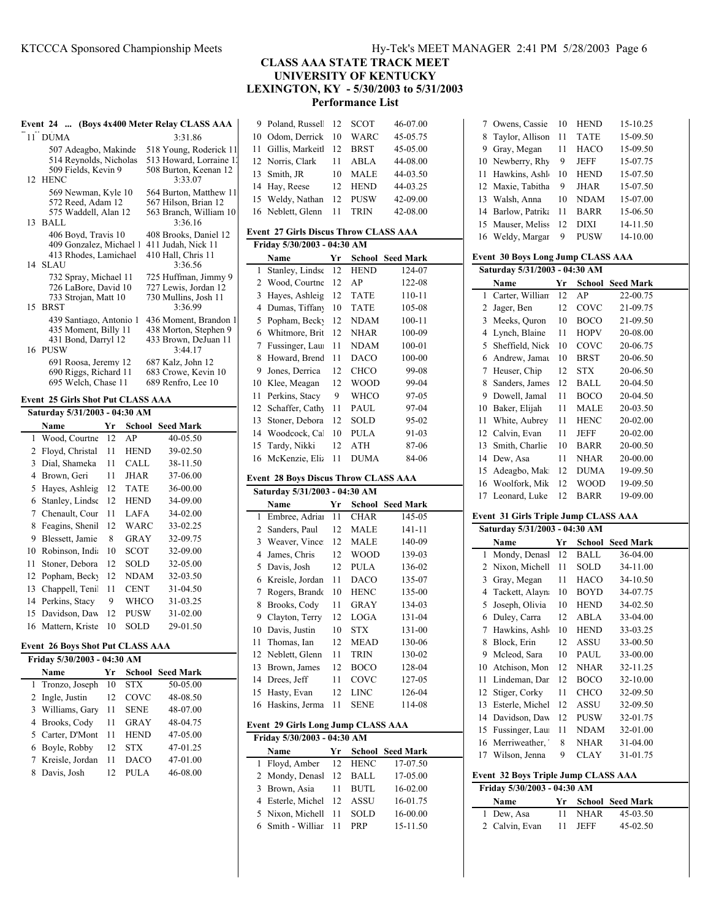| <b>CLASS AAA STATE TRACK MEET</b>    |
|--------------------------------------|
| UNIVERSITY OF KENTUCKY               |
| LEXINGTON, KY - 5/30/2003 to 5/31/20 |

**Performance List**

|    |                                                                                        |    |             | Event 24  (Boys 4x400 Meter Relay CLASS AAA                                           |
|----|----------------------------------------------------------------------------------------|----|-------------|---------------------------------------------------------------------------------------|
|    | 11 DUMA                                                                                |    |             | 3:31.86                                                                               |
| 12 | 507 Adeagbo, Makinde<br>514 Reynolds, Nicholas<br>509 Fields, Kevin 9<br><b>HENC</b>   |    |             | 518 Young, Roderick 11<br>513 Howard, Lorraine 1.<br>508 Burton, Keenan 12<br>3:33.07 |
| 13 | 569 Newman, Kyle 10<br>572 Reed, Adam 12<br>575 Waddell, Alan 12<br>BALL               |    |             | 564 Burton, Matthew 11<br>567 Hilson, Brian 12<br>563 Branch, William 10<br>3:36.16   |
| 14 | 406 Boyd, Travis 10<br>409 Gonzalez, Michael 1<br>413 Rhodes, Lamichael<br><b>SLAU</b> |    |             | 408 Brooks, Daniel 12<br>411 Judah, Nick 11<br>410 Hall, Chris 11<br>3:36.56          |
| 15 | 732 Spray, Michael 11<br>726 LaBore, David 10<br>733 Strojan, Matt 10<br><b>BRST</b>   |    |             | 725 Huffman, Jimmy 9<br>727 Lewis, Jordan 12<br>730 Mullins, Josh 11<br>3:36.99       |
| 16 | 439 Santiago, Antonio 1<br>435 Moment, Billy 11<br>431 Bond, Darryl 12<br><b>PUSW</b>  |    |             | 436 Moment, Brandon 1<br>438 Morton, Stephen 9<br>433 Brown, DeJuan 11<br>3:44.17     |
|    | 691 Roosa, Jeremy 12<br>690 Riggs, Richard 11<br>695 Welch, Chase 11                   |    |             | 687 Kalz, John 12<br>683 Crowe, Kevin 10<br>689 Renfro, Lee 10                        |
|    | <b>Event 25 Girls Shot Put CLASS AAA</b>                                               |    |             |                                                                                       |
|    | Saturday 5/31/2003 - 04:30 AM                                                          |    |             |                                                                                       |
|    | Name                                                                                   | Yr | School      | <b>Seed Mark</b>                                                                      |
| 1  | Wood, Courtne                                                                          | 12 | AP          | 40-05.50                                                                              |
| 2  | Floyd, Christal                                                                        | 11 | <b>HEND</b> | 39-02.50                                                                              |
| 3  | Dial, Shameka                                                                          | 11 | <b>CALL</b> | 38-11.50                                                                              |
| 4  | Brown, Geri                                                                            | 11 | <b>JHAR</b> | 37-06.00                                                                              |
| 5  | Hayes, Ashleig                                                                         | 12 | <b>TATE</b> | 36-00.00                                                                              |
| 6  | Stanley, Lindse                                                                        | 12 | <b>HEND</b> | 34-09.00                                                                              |
| 7  | Chenault. Cour                                                                         | 11 | LAFA        | 34-02.00                                                                              |

|    | 4 Brown, Geri      | 11 | <b>JHAR</b> | 37-06.00 |
|----|--------------------|----|-------------|----------|
| 5  | Hayes, Ashleig     | 12 | <b>TATE</b> | 36-00.00 |
| 6  | Stanley, Lindse    | 12 | <b>HEND</b> | 34-09.00 |
| 7  | Chenault, Cour     | 11 | LAFA        | 34-02.00 |
| 8  | Feagins, Shenil    | 12 | WARC        | 33-02.25 |
| 9  | Blessett, Jamie    | 8  | GRAY        | 32-09.75 |
| 10 | Robinson, Indi     | 10 | <b>SCOT</b> | 32-09.00 |
| 11 | Stoner, Debora     | 12 | <b>SOLD</b> | 32-05.00 |
|    | 12 Popham, Becky   | 12 | NDAM        | 32-03.50 |
| 13 | Chappell, Teni     | 11 | <b>CENT</b> | 31-04.50 |
|    | 14 Perkins, Stacy  | 9  | <b>WHCO</b> | 31-03.25 |
|    | 15 Davidson, Daw   | 12 | <b>PUSW</b> | 31-02.00 |
|    | 16 Mattern, Kriste | 10 | SOL D       | 29-01.50 |

#### **Event 26 Boys Shot Put CLASS AAA**

**Friday 5/30/2003 - 04:30 AM**

|   | Name              | Yr |             | <b>School Seed Mark</b> |
|---|-------------------|----|-------------|-------------------------|
|   | 1 Tronzo, Joseph  | 10 | <b>STX</b>  | 50-05.00                |
|   | 2 Ingle, Justin   | 12 | COVC        | 48-08.50                |
|   | 3 Williams, Gary  | 11 | <b>SENE</b> | 48-07.00                |
|   | 4 Brooks, Cody    | 11 | GRAY        | 48-04.75                |
|   | 5 Carter, D'Mont  | 11 | <b>HEND</b> | 47-05.00                |
|   | 6 Boyle, Robby    | 12 | <b>STX</b>  | 47-01.25                |
|   | 7 Kreisle, Jordan | 11 | <b>DACO</b> | 47-01.00                |
| 8 | Davis, Josh       | 12 |             | 46-08.00                |

| 9        | Poland, Russell                              | 12 | SCOT                | 46-07.00         |
|----------|----------------------------------------------|----|---------------------|------------------|
| 10       | Odom, Derrick                                | 10 | WARC                | 45-05.75         |
| 11       | Gillis, Markeitl                             | 12 | BRST                | 45-05.00         |
| 12       | Norris, Clark                                | 11 | ABLA                | 44-08.00         |
| 13       | Smith, JR                                    | 10 | MALE                | 44-03.50         |
| 14       | Hay, Reese                                   | 12 | <b>HEND</b>         | 44-03.25         |
| 15       | Weldy, Nathan                                | 12 | <b>PUSW</b>         | 42-09.00         |
| 16       | Neblett, Glenn                               | 11 | TRIN                | 42-08.00         |
|          |                                              |    |                     |                  |
|          | <b>Event 27 Girls Discus Throw CLASS AAA</b> |    |                     |                  |
|          | Friday 5/30/2003 - 04:30 AM                  |    |                     |                  |
|          | Name                                         | Yr | School              | <b>Seed Mark</b> |
| 1        | Stanley, Lindse                              | 12 | <b>HEND</b>         | 124-07           |
| 2        | Wood, Courtne                                | 12 | AΡ                  | 122-08           |
| 3        | Hayes, Ashleig                               | 12 | TATE                | 110-11           |
| 4        | Dumas, Tiffany                               | 10 | TATE                | 105-08           |
| 5        | Popham, Becky                                | 12 | <b>NDAM</b>         | 100-11           |
|          | Whitmore, Brit                               |    |                     | 100-09           |
| 6        |                                              | 12 | NHAR                |                  |
| 7        | Fussinger, Lau                               | 11 | NDAM                | 100-01           |
| 8        | Howard, Brend                                | 11 | DACO                | 100-00           |
| 9        | Jones, Derrica                               | 12 | <b>CHCO</b>         | 99-08            |
| 10       | Klee, Meagan                                 | 12 | WOOD                | 99-04            |
| 11       | Perkins, Stacy                               | 9  | WHCO                | 97-05            |
| 12       | Schaffer, Cathy                              | 11 | PAUL                | 97-04            |
| 13       | Stoner, Debora                               | 12 | SOLD                | 95-02            |
| 14       | Woodcock, Cal                                | 10 | PULA                | 91-03            |
| 15       | Tardy, Nikki                                 | 12 | ATH                 | 87-06            |
| 16       | McKenzie, Eliz                               | 11 | <b>DUMA</b>         | 84-06            |
|          |                                              |    |                     |                  |
|          | <b>Event 28 Boys Discus Throw CLASS AAA</b>  |    |                     |                  |
|          |                                              |    |                     |                  |
|          | Saturday 5/31/2003 - 04:30 AM                |    |                     |                  |
|          | Name                                         | Yr | School              | <b>Seed Mark</b> |
| 1        | Embree, Adriai                               | 11 | <b>CHAR</b>         | 145-05           |
| 2        | Sanders, Paul                                | 12 | MALE                | 141-11           |
| 3        | Weaver, Vince                                | 12 | MALE                | 140-09           |
| 4        | James, Chris                                 | 12 | WOOD                | 139-03           |
| 5        | Davis, Josh                                  | 12 | PULA                | 136-02           |
| 6        | Kreisle, Jordan                              | 11 | DACO                | 135-07           |
| 7        | Rogers, Brando                               | 10 | <b>HENC</b>         | 135-00           |
| 8        | Brooks, Cody                                 | 11 | GRAY                | 134-03           |
| 9        | Clayton, Terry                               | 12 | LOGA                | 131-04           |
| 10       | Davis, Justin                                | 10 | STX                 | 131-00           |
|          |                                              |    |                     |                  |
| 11<br>12 | Thomas, Ian<br>Neblett, Glenn                | 12 | <b>MEAD</b><br>TRIN | 130-06<br>130-02 |
|          |                                              | 11 |                     |                  |
| 13       | Brown, James                                 | 12 | <b>BOCO</b>         | 128-04           |
| 14       | Drees, Jeff                                  | 11 | COVC                | 127-05           |
| 15       | Hasty, Evan                                  | 12 | ${\rm LINC}$        | 126-04           |
| 16       | Haskins, Jerma                               | 11 | SENE                | 114-08           |
|          | <b>Event 29 Girls Long Jump CLASS AAA</b>    |    |                     |                  |
|          | Friday 5/30/2003 - 04:30 AM                  |    |                     |                  |
|          | Name                                         | Yr | School              | <b>Seed Mark</b> |
| 1        | Floyd, Amber                                 | 12 | <b>HENC</b>         | 17-07.50         |
| 2        | Mondy, Denasl                                | 12 | BALL                | 17-05.00         |
| 3        | Brown, Asia                                  | 11 | <b>BUTL</b>         | 16-02.00         |
| 4        | Esterle, Michel                              | 12 | ASSU                | 16-01.75         |
| 5        | Nixon, Michell                               | 11 | SOLD                | 16-00.00         |
| 6        | Smith - Williar                              | 11 | PRP                 | 15-11.50         |

| ν.   |                                  |  |  |
|------|----------------------------------|--|--|
| 2003 |                                  |  |  |
|      | 7 Owens, Cassie 10 HEND 15-10.25 |  |  |

 $\overline{\phantom{a}}$ 

|        | Taylor, Allison                             | 11       | <b>TATE</b> | 15-09.50                |
|--------|---------------------------------------------|----------|-------------|-------------------------|
| 8<br>9 |                                             |          |             |                         |
|        | Gray, Megan                                 | 11       | HACO        | 15-09.50                |
| 10     | Newberry, Rhy                               | 9        | JEFF        | 15-07.75                |
| 11     | Hawkins, Ashl                               | 10       | <b>HEND</b> | 15-07.50                |
| 12     | Maxie, Tabitha                              | 9        | JHAR        | 15-07.50                |
| 13     | Walsh, Anna                                 | 10       | NDAM        | 15-07.00                |
| 14     | Barlow, Patrika                             | 11       | <b>BARR</b> | 15-06.50                |
| 15     | Mauser, Meliss                              | 12       | DIXI        | 14-11.50                |
| 16     | Weldy, Margar                               | 9        | <b>PUSW</b> | 14-10.00                |
|        | Event 30 Boys Long Jump CLASS AAA           |          |             |                         |
|        | Saturday 5/31/2003 - 04:30 AM               |          |             |                         |
|        |                                             |          |             | <b>School Seed Mark</b> |
| 1      | Name<br>Carter, Willian                     | Yr<br>12 | AP          | 22-00.75                |
|        |                                             |          |             |                         |
| 2      | Jager, Ben                                  | 12       | COVC        | 21-09.75                |
| 3      | Meeks, Quron                                | 10       | <b>BOCO</b> | 21-09.50                |
| 4      | Lynch, Blaine                               | 11       | <b>HOPV</b> | 20-08.00                |
| 5      | Sheffield, Nick                             | 10       | COVC        | 20-06.75                |
| 6      | Andrew, Jamar                               | 10       | <b>BRST</b> | 20-06.50                |
| 7      | Heuser, Chip                                | 12       | <b>STX</b>  | 20-06.50                |
| 8      | Sanders, James                              | 12       | <b>BALL</b> | 20-04.50                |
| 9      | Dowell, Jamal                               | 11       | <b>BOCO</b> | 20-04.50                |
| 10     | Baker, Elijah                               | 11       | MALE        | 20-03.50                |
| 11     | White, Aubrey                               | 11       | <b>HENC</b> | 20-02.00                |
| 12     | Calvin, Evan                                | 11       | JEFF        | 20-02.00                |
| 13     | Smith, Charlie                              | 10       | <b>BARR</b> | 20-00.50                |
| 14     | Dew, Asa                                    | 11       | <b>NHAR</b> | 20-00.00                |
| 15     | Adeagbo, Mak                                | 12       | <b>DUMA</b> | 19-09.50                |
| 16     | Woolfork, Mik                               | 12       | <b>WOOD</b> | 19-09.50                |
| 17     | Leonard, Luke                               | 12       | <b>BARR</b> | 19-09.00                |
|        |                                             |          |             |                         |
|        |                                             |          |             |                         |
|        | <b>Event 31 Girls Triple Jump CLASS AAA</b> |          |             |                         |
|        | Saturday 5/31/2003 - 04:30 AM               |          |             |                         |
|        | Name                                        | Yr       | School      | <b>Seed Mark</b>        |
| 1      | Mondy, Denasl                               | 12       | BALL        | 36-04.00                |
| 2      | Nixon, Michell                              | 11       | SOLD        | 34-11.00                |
| 3      | Gray, Megan                                 | 11       | HACO        | 34-10.50                |
| 4      | Tackett, Alayn                              | 10       | <b>BOYD</b> | 34-07.75                |
| 5      | Joseph, Olivia                              | 10       | <b>HEND</b> | 34-02.50                |
| 6      | Duley, Carra                                | 12       | ABLA        | 33-04.00                |
| 7      | Hawkins, Ashl                               | 10       | <b>HEND</b> | 33-03.25                |
| 8      | Block, Erin                                 | 12       | ASSU        | 33-00.50                |
| 9      | Mcleod, Sara                                | 10       | PAUL        | 33-00.00                |
| 10     | Atchison, Mon                               | 12       | NHAR        | 32-11.25                |
| 11     | Lindeman, Dar                               | 12       | <b>BOCO</b> | 32-10.00                |
| 12     | Stiger, Corky                               | 11       | CHCO        | 32-09.50                |
| 13     | Esterle, Michel                             | 12       | ASSU        | 32-09.50                |
| 14     | Davidson, Daw                               | 12       | PUSW        | 32-01.75                |
| 15     | Fussinger, Lau                              | 11       | NDAM        | 32-01.00                |
| 16     | Merriweather,                               | 8        | NHAR        | 31-04.00                |
| 17     | Wilson, Jenna                               | 9        | CLAY        | 31-01.75                |
|        |                                             |          |             |                         |
|        | Event 32 Boys Triple Jump CLASS AAA         |          |             |                         |
|        | Friday 5/30/2003 - 04:30 AM                 |          |             |                         |
|        | Name                                        | Yr       | School      | <b>Seed Mark</b>        |
| 1      | Dew, Asa                                    | 11       | NHAR        | 45-03.50                |
| 2      | Calvin, Evan                                | 11       | JEFF        | 45-02.50                |
|        |                                             |          |             |                         |